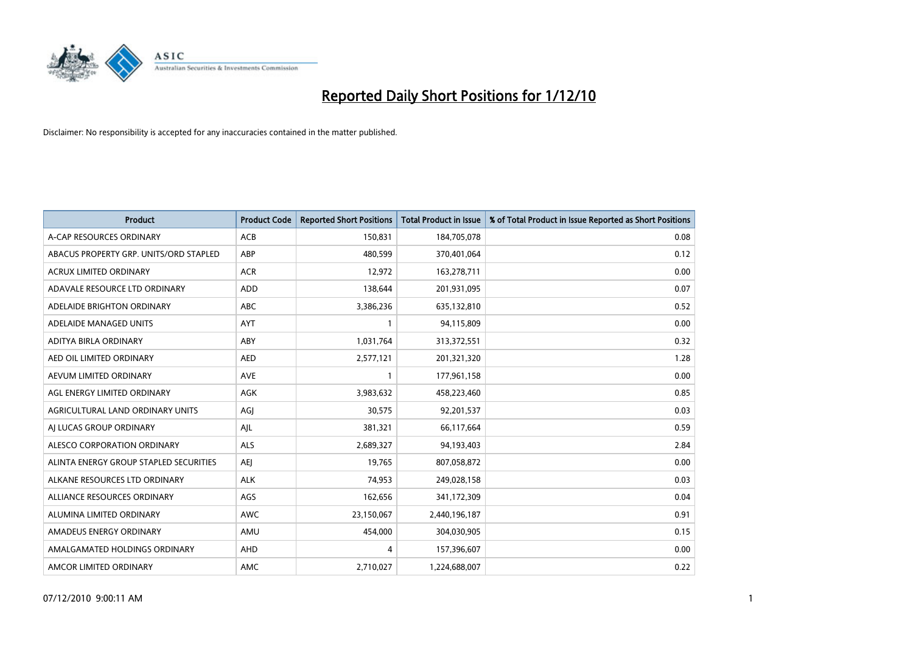

| <b>Product</b>                         | <b>Product Code</b> | <b>Reported Short Positions</b> | <b>Total Product in Issue</b> | % of Total Product in Issue Reported as Short Positions |
|----------------------------------------|---------------------|---------------------------------|-------------------------------|---------------------------------------------------------|
| A-CAP RESOURCES ORDINARY               | <b>ACB</b>          | 150,831                         | 184,705,078                   | 0.08                                                    |
| ABACUS PROPERTY GRP. UNITS/ORD STAPLED | ABP                 | 480,599                         | 370,401,064                   | 0.12                                                    |
| <b>ACRUX LIMITED ORDINARY</b>          | <b>ACR</b>          | 12,972                          | 163,278,711                   | 0.00                                                    |
| ADAVALE RESOURCE LTD ORDINARY          | <b>ADD</b>          | 138,644                         | 201,931,095                   | 0.07                                                    |
| ADELAIDE BRIGHTON ORDINARY             | <b>ABC</b>          | 3,386,236                       | 635,132,810                   | 0.52                                                    |
| ADELAIDE MANAGED UNITS                 | AYT                 |                                 | 94,115,809                    | 0.00                                                    |
| ADITYA BIRLA ORDINARY                  | ABY                 | 1,031,764                       | 313,372,551                   | 0.32                                                    |
| AED OIL LIMITED ORDINARY               | <b>AED</b>          | 2,577,121                       | 201,321,320                   | 1.28                                                    |
| AEVUM LIMITED ORDINARY                 | <b>AVE</b>          |                                 | 177,961,158                   | 0.00                                                    |
| AGL ENERGY LIMITED ORDINARY            | AGK                 | 3,983,632                       | 458,223,460                   | 0.85                                                    |
| AGRICULTURAL LAND ORDINARY UNITS       | AGI                 | 30,575                          | 92,201,537                    | 0.03                                                    |
| AI LUCAS GROUP ORDINARY                | AJL                 | 381,321                         | 66,117,664                    | 0.59                                                    |
| ALESCO CORPORATION ORDINARY            | <b>ALS</b>          | 2,689,327                       | 94,193,403                    | 2.84                                                    |
| ALINTA ENERGY GROUP STAPLED SECURITIES | <b>AEI</b>          | 19,765                          | 807,058,872                   | 0.00                                                    |
| ALKANE RESOURCES LTD ORDINARY          | <b>ALK</b>          | 74,953                          | 249,028,158                   | 0.03                                                    |
| ALLIANCE RESOURCES ORDINARY            | AGS                 | 162,656                         | 341,172,309                   | 0.04                                                    |
| ALUMINA LIMITED ORDINARY               | <b>AWC</b>          | 23,150,067                      | 2,440,196,187                 | 0.91                                                    |
| AMADEUS ENERGY ORDINARY                | AMU                 | 454,000                         | 304,030,905                   | 0.15                                                    |
| AMALGAMATED HOLDINGS ORDINARY          | AHD                 | 4                               | 157,396,607                   | 0.00                                                    |
| AMCOR LIMITED ORDINARY                 | <b>AMC</b>          | 2,710,027                       | 1,224,688,007                 | 0.22                                                    |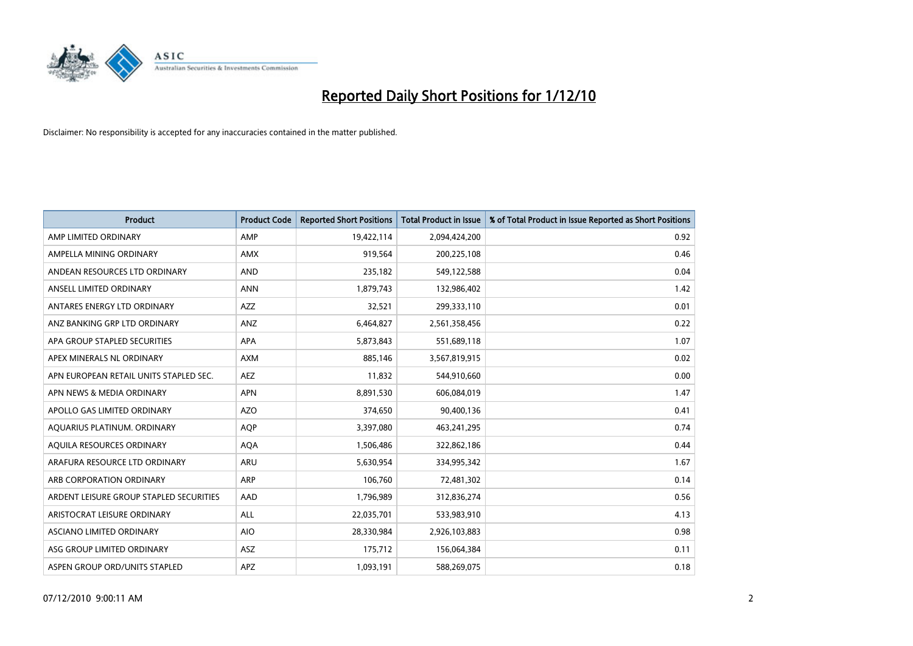

| <b>Product</b>                          | <b>Product Code</b> | <b>Reported Short Positions</b> | Total Product in Issue | % of Total Product in Issue Reported as Short Positions |
|-----------------------------------------|---------------------|---------------------------------|------------------------|---------------------------------------------------------|
| AMP LIMITED ORDINARY                    | AMP                 | 19,422,114                      | 2,094,424,200          | 0.92                                                    |
| AMPELLA MINING ORDINARY                 | <b>AMX</b>          | 919,564                         | 200,225,108            | 0.46                                                    |
| ANDEAN RESOURCES LTD ORDINARY           | <b>AND</b>          | 235,182                         | 549,122,588            | 0.04                                                    |
| ANSELL LIMITED ORDINARY                 | <b>ANN</b>          | 1,879,743                       | 132,986,402            | 1.42                                                    |
| ANTARES ENERGY LTD ORDINARY             | <b>AZZ</b>          | 32,521                          | 299,333,110            | 0.01                                                    |
| ANZ BANKING GRP LTD ORDINARY            | ANZ                 | 6,464,827                       | 2,561,358,456          | 0.22                                                    |
| APA GROUP STAPLED SECURITIES            | <b>APA</b>          | 5,873,843                       | 551,689,118            | 1.07                                                    |
| APEX MINERALS NL ORDINARY               | <b>AXM</b>          | 885,146                         | 3,567,819,915          | 0.02                                                    |
| APN EUROPEAN RETAIL UNITS STAPLED SEC.  | <b>AEZ</b>          | 11,832                          | 544,910,660            | 0.00                                                    |
| APN NEWS & MEDIA ORDINARY               | <b>APN</b>          | 8,891,530                       | 606,084,019            | 1.47                                                    |
| APOLLO GAS LIMITED ORDINARY             | <b>AZO</b>          | 374,650                         | 90,400,136             | 0.41                                                    |
| AQUARIUS PLATINUM. ORDINARY             | <b>AOP</b>          | 3,397,080                       | 463,241,295            | 0.74                                                    |
| AQUILA RESOURCES ORDINARY               | <b>AQA</b>          | 1,506,486                       | 322,862,186            | 0.44                                                    |
| ARAFURA RESOURCE LTD ORDINARY           | <b>ARU</b>          | 5,630,954                       | 334,995,342            | 1.67                                                    |
| ARB CORPORATION ORDINARY                | <b>ARP</b>          | 106,760                         | 72,481,302             | 0.14                                                    |
| ARDENT LEISURE GROUP STAPLED SECURITIES | AAD                 | 1,796,989                       | 312,836,274            | 0.56                                                    |
| ARISTOCRAT LEISURE ORDINARY             | <b>ALL</b>          | 22,035,701                      | 533,983,910            | 4.13                                                    |
| ASCIANO LIMITED ORDINARY                | <b>AIO</b>          | 28,330,984                      | 2,926,103,883          | 0.98                                                    |
| ASG GROUP LIMITED ORDINARY              | <b>ASZ</b>          | 175,712                         | 156,064,384            | 0.11                                                    |
| ASPEN GROUP ORD/UNITS STAPLED           | <b>APZ</b>          | 1,093,191                       | 588,269,075            | 0.18                                                    |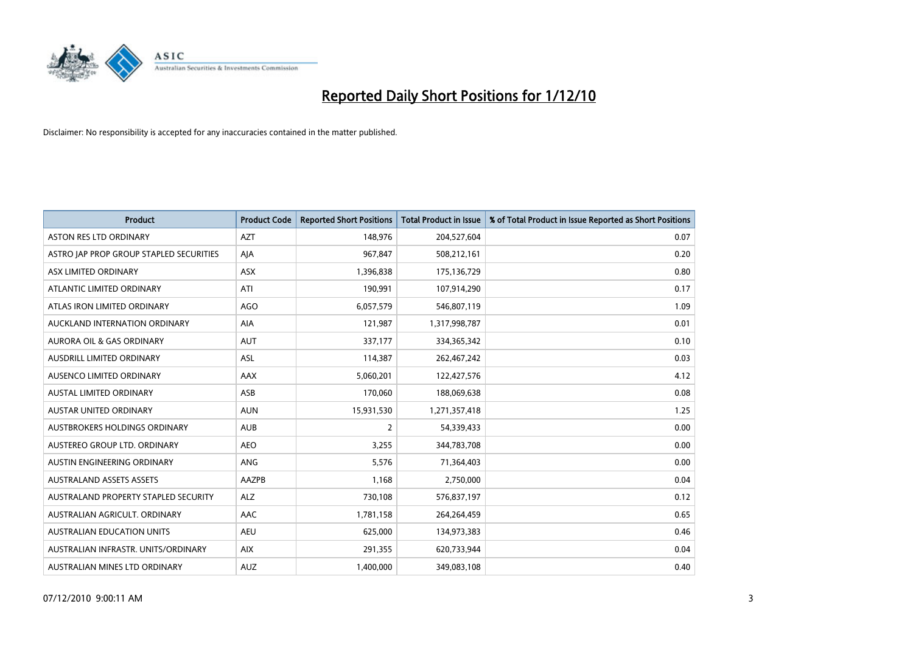

| <b>Product</b>                          | <b>Product Code</b> | <b>Reported Short Positions</b> | Total Product in Issue | % of Total Product in Issue Reported as Short Positions |
|-----------------------------------------|---------------------|---------------------------------|------------------------|---------------------------------------------------------|
| <b>ASTON RES LTD ORDINARY</b>           | <b>AZT</b>          | 148,976                         | 204,527,604            | 0.07                                                    |
| ASTRO JAP PROP GROUP STAPLED SECURITIES | AJA                 | 967,847                         | 508,212,161            | 0.20                                                    |
| <b>ASX LIMITED ORDINARY</b>             | <b>ASX</b>          | 1,396,838                       | 175,136,729            | 0.80                                                    |
| ATLANTIC LIMITED ORDINARY               | ATI                 | 190,991                         | 107,914,290            | 0.17                                                    |
| ATLAS IRON LIMITED ORDINARY             | <b>AGO</b>          | 6,057,579                       | 546,807,119            | 1.09                                                    |
| AUCKLAND INTERNATION ORDINARY           | AIA                 | 121,987                         | 1,317,998,787          | 0.01                                                    |
| <b>AURORA OIL &amp; GAS ORDINARY</b>    | <b>AUT</b>          | 337,177                         | 334,365,342            | 0.10                                                    |
| AUSDRILL LIMITED ORDINARY               | ASL                 | 114,387                         | 262,467,242            | 0.03                                                    |
| AUSENCO LIMITED ORDINARY                | <b>AAX</b>          | 5,060,201                       | 122,427,576            | 4.12                                                    |
| <b>AUSTAL LIMITED ORDINARY</b>          | ASB                 | 170,060                         | 188,069,638            | 0.08                                                    |
| <b>AUSTAR UNITED ORDINARY</b>           | <b>AUN</b>          | 15,931,530                      | 1,271,357,418          | 1.25                                                    |
| AUSTBROKERS HOLDINGS ORDINARY           | <b>AUB</b>          | 2                               | 54,339,433             | 0.00                                                    |
| AUSTEREO GROUP LTD. ORDINARY            | <b>AEO</b>          | 3,255                           | 344,783,708            | 0.00                                                    |
| AUSTIN ENGINEERING ORDINARY             | ANG                 | 5,576                           | 71,364,403             | 0.00                                                    |
| <b>AUSTRALAND ASSETS ASSETS</b>         | AAZPB               | 1,168                           | 2,750,000              | 0.04                                                    |
| AUSTRALAND PROPERTY STAPLED SECURITY    | <b>ALZ</b>          | 730,108                         | 576,837,197            | 0.12                                                    |
| AUSTRALIAN AGRICULT, ORDINARY           | <b>AAC</b>          | 1,781,158                       | 264,264,459            | 0.65                                                    |
| AUSTRALIAN EDUCATION UNITS              | <b>AEU</b>          | 625,000                         | 134,973,383            | 0.46                                                    |
| AUSTRALIAN INFRASTR, UNITS/ORDINARY     | <b>AIX</b>          | 291,355                         | 620,733,944            | 0.04                                                    |
| AUSTRALIAN MINES LTD ORDINARY           | <b>AUZ</b>          | 1,400,000                       | 349,083,108            | 0.40                                                    |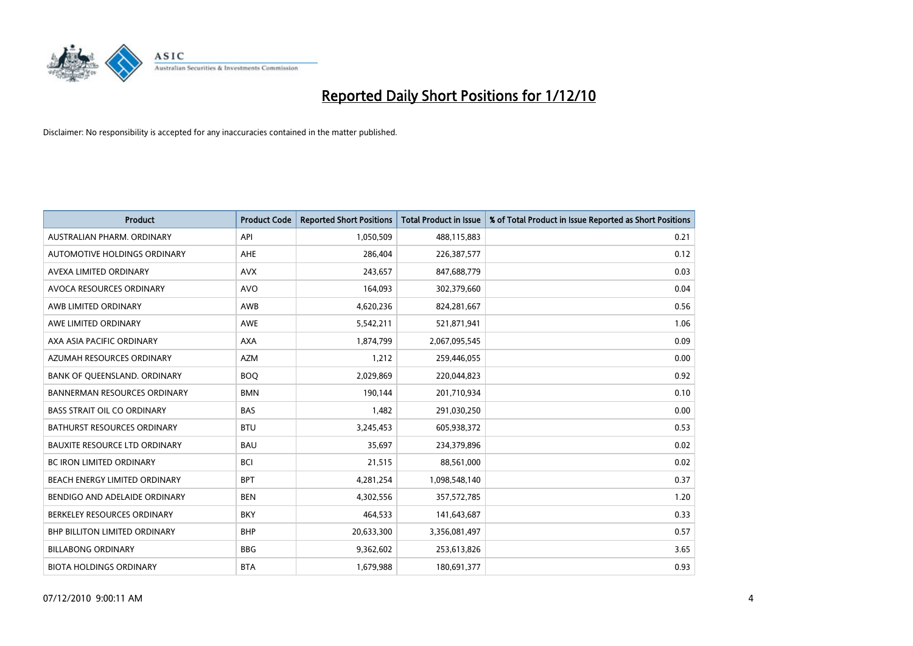

| <b>Product</b>                       | <b>Product Code</b> | <b>Reported Short Positions</b> | Total Product in Issue | % of Total Product in Issue Reported as Short Positions |
|--------------------------------------|---------------------|---------------------------------|------------------------|---------------------------------------------------------|
| AUSTRALIAN PHARM, ORDINARY           | API                 | 1,050,509                       | 488,115,883            | 0.21                                                    |
| AUTOMOTIVE HOLDINGS ORDINARY         | <b>AHE</b>          | 286,404                         | 226,387,577            | 0.12                                                    |
| AVEXA LIMITED ORDINARY               | <b>AVX</b>          | 243,657                         | 847,688,779            | 0.03                                                    |
| AVOCA RESOURCES ORDINARY             | <b>AVO</b>          | 164,093                         | 302,379,660            | 0.04                                                    |
| AWB LIMITED ORDINARY                 | AWB                 | 4,620,236                       | 824,281,667            | 0.56                                                    |
| AWE LIMITED ORDINARY                 | AWE                 | 5,542,211                       | 521,871,941            | 1.06                                                    |
| AXA ASIA PACIFIC ORDINARY            | <b>AXA</b>          | 1,874,799                       | 2,067,095,545          | 0.09                                                    |
| AZUMAH RESOURCES ORDINARY            | <b>AZM</b>          | 1,212                           | 259,446,055            | 0.00                                                    |
| BANK OF QUEENSLAND. ORDINARY         | <b>BOO</b>          | 2,029,869                       | 220,044,823            | 0.92                                                    |
| <b>BANNERMAN RESOURCES ORDINARY</b>  | <b>BMN</b>          | 190,144                         | 201,710,934            | 0.10                                                    |
| <b>BASS STRAIT OIL CO ORDINARY</b>   | <b>BAS</b>          | 1,482                           | 291,030,250            | 0.00                                                    |
| <b>BATHURST RESOURCES ORDINARY</b>   | <b>BTU</b>          | 3,245,453                       | 605,938,372            | 0.53                                                    |
| <b>BAUXITE RESOURCE LTD ORDINARY</b> | <b>BAU</b>          | 35,697                          | 234,379,896            | 0.02                                                    |
| <b>BC IRON LIMITED ORDINARY</b>      | <b>BCI</b>          | 21,515                          | 88,561,000             | 0.02                                                    |
| <b>BEACH ENERGY LIMITED ORDINARY</b> | <b>BPT</b>          | 4,281,254                       | 1,098,548,140          | 0.37                                                    |
| BENDIGO AND ADELAIDE ORDINARY        | <b>BEN</b>          | 4,302,556                       | 357,572,785            | 1.20                                                    |
| BERKELEY RESOURCES ORDINARY          | <b>BKY</b>          | 464,533                         | 141,643,687            | 0.33                                                    |
| BHP BILLITON LIMITED ORDINARY        | <b>BHP</b>          | 20,633,300                      | 3,356,081,497          | 0.57                                                    |
| <b>BILLABONG ORDINARY</b>            | <b>BBG</b>          | 9,362,602                       | 253,613,826            | 3.65                                                    |
| <b>BIOTA HOLDINGS ORDINARY</b>       | <b>BTA</b>          | 1,679,988                       | 180,691,377            | 0.93                                                    |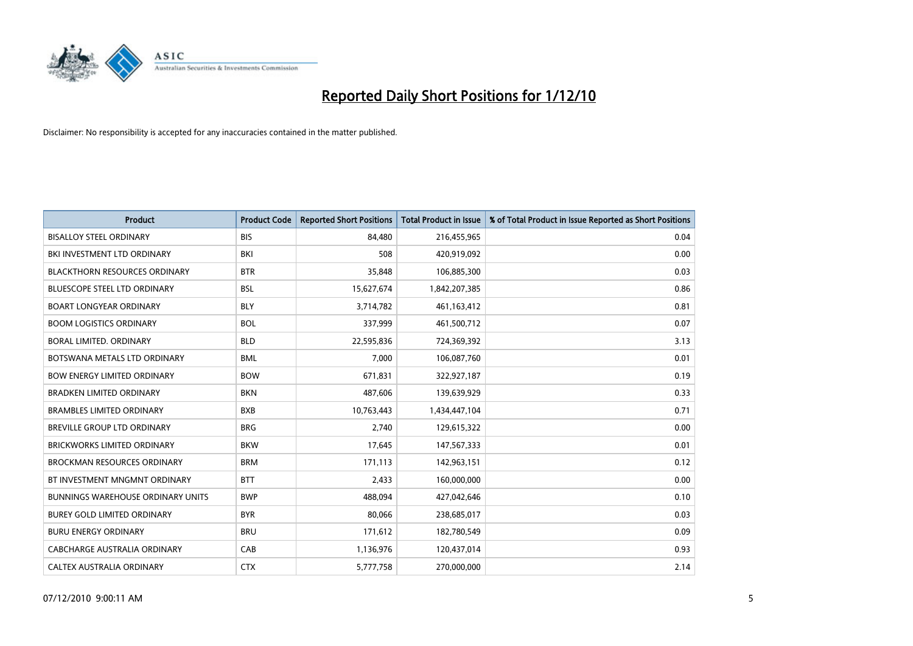

| <b>Product</b>                           | <b>Product Code</b> | <b>Reported Short Positions</b> | <b>Total Product in Issue</b> | % of Total Product in Issue Reported as Short Positions |
|------------------------------------------|---------------------|---------------------------------|-------------------------------|---------------------------------------------------------|
| <b>BISALLOY STEEL ORDINARY</b>           | <b>BIS</b>          | 84,480                          | 216,455,965                   | 0.04                                                    |
| BKI INVESTMENT LTD ORDINARY              | <b>BKI</b>          | 508                             | 420,919,092                   | 0.00                                                    |
| <b>BLACKTHORN RESOURCES ORDINARY</b>     | <b>BTR</b>          | 35,848                          | 106,885,300                   | 0.03                                                    |
| <b>BLUESCOPE STEEL LTD ORDINARY</b>      | <b>BSL</b>          | 15,627,674                      | 1,842,207,385                 | 0.86                                                    |
| <b>BOART LONGYEAR ORDINARY</b>           | <b>BLY</b>          | 3,714,782                       | 461,163,412                   | 0.81                                                    |
| <b>BOOM LOGISTICS ORDINARY</b>           | <b>BOL</b>          | 337,999                         | 461,500,712                   | 0.07                                                    |
| <b>BORAL LIMITED, ORDINARY</b>           | <b>BLD</b>          | 22,595,836                      | 724,369,392                   | 3.13                                                    |
| BOTSWANA METALS LTD ORDINARY             | <b>BML</b>          | 7,000                           | 106,087,760                   | 0.01                                                    |
| <b>BOW ENERGY LIMITED ORDINARY</b>       | <b>BOW</b>          | 671,831                         | 322,927,187                   | 0.19                                                    |
| <b>BRADKEN LIMITED ORDINARY</b>          | <b>BKN</b>          | 487,606                         | 139,639,929                   | 0.33                                                    |
| <b>BRAMBLES LIMITED ORDINARY</b>         | <b>BXB</b>          | 10,763,443                      | 1,434,447,104                 | 0.71                                                    |
| <b>BREVILLE GROUP LTD ORDINARY</b>       | <b>BRG</b>          | 2,740                           | 129,615,322                   | 0.00                                                    |
| BRICKWORKS LIMITED ORDINARY              | <b>BKW</b>          | 17,645                          | 147,567,333                   | 0.01                                                    |
| <b>BROCKMAN RESOURCES ORDINARY</b>       | <b>BRM</b>          | 171,113                         | 142,963,151                   | 0.12                                                    |
| BT INVESTMENT MNGMNT ORDINARY            | <b>BTT</b>          | 2,433                           | 160,000,000                   | 0.00                                                    |
| <b>BUNNINGS WAREHOUSE ORDINARY UNITS</b> | <b>BWP</b>          | 488,094                         | 427,042,646                   | 0.10                                                    |
| BUREY GOLD LIMITED ORDINARY              | <b>BYR</b>          | 80,066                          | 238,685,017                   | 0.03                                                    |
| <b>BURU ENERGY ORDINARY</b>              | <b>BRU</b>          | 171,612                         | 182,780,549                   | 0.09                                                    |
| CABCHARGE AUSTRALIA ORDINARY             | CAB                 | 1,136,976                       | 120,437,014                   | 0.93                                                    |
| CALTEX AUSTRALIA ORDINARY                | <b>CTX</b>          | 5,777,758                       | 270,000,000                   | 2.14                                                    |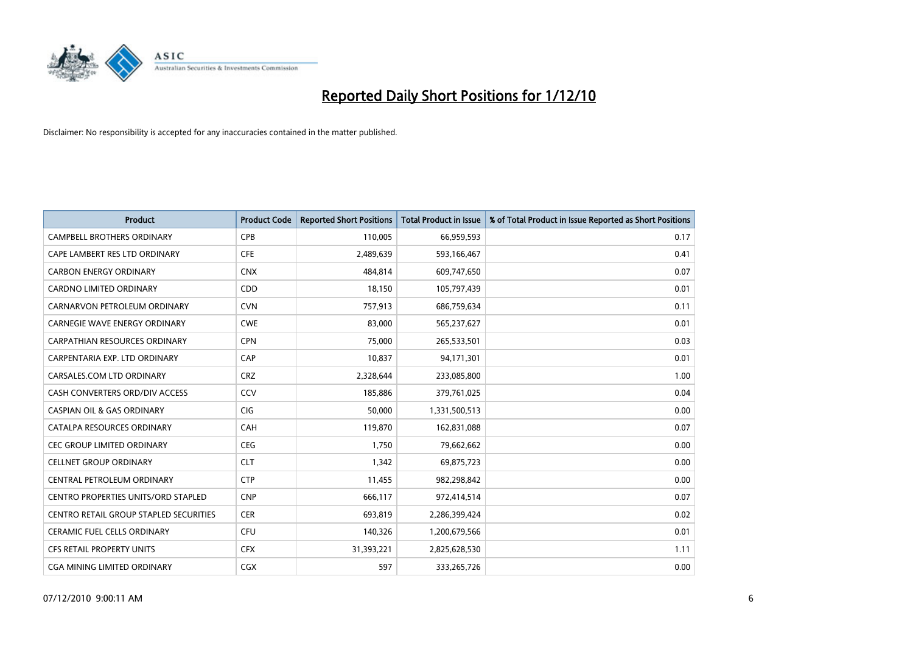

| <b>Product</b>                                | <b>Product Code</b> | <b>Reported Short Positions</b> | <b>Total Product in Issue</b> | % of Total Product in Issue Reported as Short Positions |
|-----------------------------------------------|---------------------|---------------------------------|-------------------------------|---------------------------------------------------------|
| <b>CAMPBELL BROTHERS ORDINARY</b>             | CPB                 | 110,005                         | 66,959,593                    | 0.17                                                    |
| CAPE LAMBERT RES LTD ORDINARY                 | <b>CFE</b>          | 2,489,639                       | 593,166,467                   | 0.41                                                    |
| <b>CARBON ENERGY ORDINARY</b>                 | <b>CNX</b>          | 484,814                         | 609,747,650                   | 0.07                                                    |
| CARDNO LIMITED ORDINARY                       | CDD                 | 18,150                          | 105,797,439                   | 0.01                                                    |
| CARNARVON PETROLEUM ORDINARY                  | <b>CVN</b>          | 757,913                         | 686,759,634                   | 0.11                                                    |
| CARNEGIE WAVE ENERGY ORDINARY                 | <b>CWE</b>          | 83.000                          | 565,237,627                   | 0.01                                                    |
| CARPATHIAN RESOURCES ORDINARY                 | <b>CPN</b>          | 75,000                          | 265,533,501                   | 0.03                                                    |
| CARPENTARIA EXP. LTD ORDINARY                 | CAP                 | 10,837                          | 94,171,301                    | 0.01                                                    |
| CARSALES.COM LTD ORDINARY                     | <b>CRZ</b>          | 2,328,644                       | 233,085,800                   | 1.00                                                    |
| CASH CONVERTERS ORD/DIV ACCESS                | CCV                 | 185,886                         | 379,761,025                   | 0.04                                                    |
| <b>CASPIAN OIL &amp; GAS ORDINARY</b>         | <b>CIG</b>          | 50,000                          | 1,331,500,513                 | 0.00                                                    |
| CATALPA RESOURCES ORDINARY                    | CAH                 | 119,870                         | 162,831,088                   | 0.07                                                    |
| <b>CEC GROUP LIMITED ORDINARY</b>             | <b>CEG</b>          | 1,750                           | 79,662,662                    | 0.00                                                    |
| <b>CELLNET GROUP ORDINARY</b>                 | <b>CLT</b>          | 1,342                           | 69,875,723                    | 0.00                                                    |
| CENTRAL PETROLEUM ORDINARY                    | <b>CTP</b>          | 11,455                          | 982,298,842                   | 0.00                                                    |
| <b>CENTRO PROPERTIES UNITS/ORD STAPLED</b>    | <b>CNP</b>          | 666,117                         | 972,414,514                   | 0.07                                                    |
| <b>CENTRO RETAIL GROUP STAPLED SECURITIES</b> | <b>CER</b>          | 693,819                         | 2,286,399,424                 | 0.02                                                    |
| CERAMIC FUEL CELLS ORDINARY                   | CFU                 | 140,326                         | 1,200,679,566                 | 0.01                                                    |
| <b>CFS RETAIL PROPERTY UNITS</b>              | <b>CFX</b>          | 31,393,221                      | 2,825,628,530                 | 1.11                                                    |
| CGA MINING LIMITED ORDINARY                   | CGX                 | 597                             | 333,265,726                   | 0.00                                                    |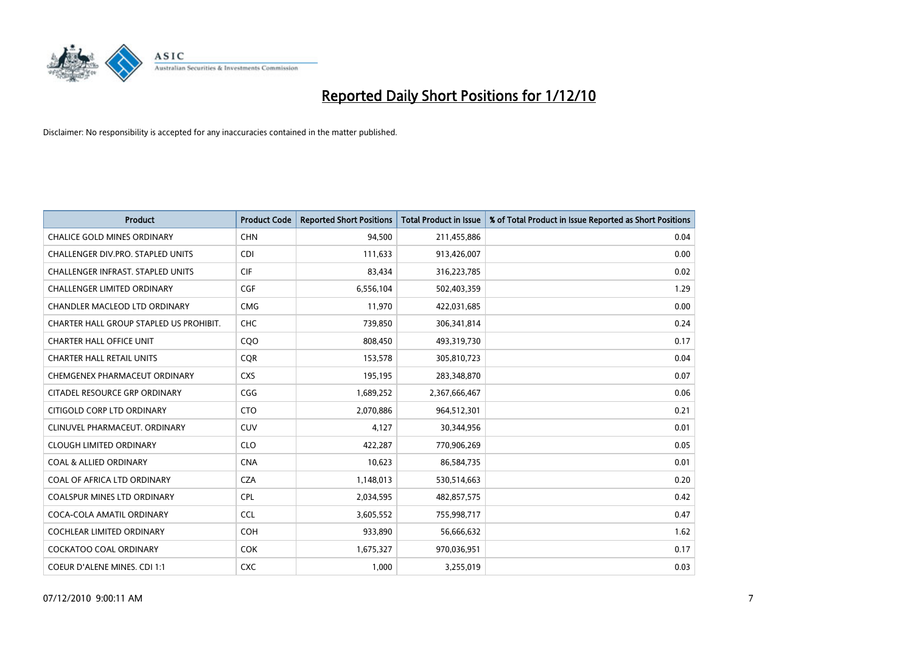

| <b>Product</b>                          | <b>Product Code</b> | <b>Reported Short Positions</b> | Total Product in Issue | % of Total Product in Issue Reported as Short Positions |
|-----------------------------------------|---------------------|---------------------------------|------------------------|---------------------------------------------------------|
| <b>CHALICE GOLD MINES ORDINARY</b>      | <b>CHN</b>          | 94,500                          | 211,455,886            | 0.04                                                    |
| CHALLENGER DIV.PRO. STAPLED UNITS       | <b>CDI</b>          | 111,633                         | 913,426,007            | 0.00                                                    |
| CHALLENGER INFRAST. STAPLED UNITS       | <b>CIF</b>          | 83,434                          | 316,223,785            | 0.02                                                    |
| <b>CHALLENGER LIMITED ORDINARY</b>      | CGF                 | 6,556,104                       | 502,403,359            | 1.29                                                    |
| <b>CHANDLER MACLEOD LTD ORDINARY</b>    | <b>CMG</b>          | 11,970                          | 422,031,685            | 0.00                                                    |
| CHARTER HALL GROUP STAPLED US PROHIBIT. | CHC                 | 739,850                         | 306,341,814            | 0.24                                                    |
| <b>CHARTER HALL OFFICE UNIT</b>         | COO                 | 808,450                         | 493,319,730            | 0.17                                                    |
| <b>CHARTER HALL RETAIL UNITS</b>        | <b>COR</b>          | 153,578                         | 305,810,723            | 0.04                                                    |
| CHEMGENEX PHARMACEUT ORDINARY           | <b>CXS</b>          | 195,195                         | 283,348,870            | 0.07                                                    |
| CITADEL RESOURCE GRP ORDINARY           | CGG                 | 1,689,252                       | 2,367,666,467          | 0.06                                                    |
| CITIGOLD CORP LTD ORDINARY              | <b>CTO</b>          | 2,070,886                       | 964,512,301            | 0.21                                                    |
| CLINUVEL PHARMACEUT. ORDINARY           | <b>CUV</b>          | 4,127                           | 30,344,956             | 0.01                                                    |
| <b>CLOUGH LIMITED ORDINARY</b>          | <b>CLO</b>          | 422.287                         | 770,906,269            | 0.05                                                    |
| <b>COAL &amp; ALLIED ORDINARY</b>       | <b>CNA</b>          | 10,623                          | 86,584,735             | 0.01                                                    |
| COAL OF AFRICA LTD ORDINARY             | <b>CZA</b>          | 1,148,013                       | 530,514,663            | 0.20                                                    |
| <b>COALSPUR MINES LTD ORDINARY</b>      | <b>CPL</b>          | 2,034,595                       | 482,857,575            | 0.42                                                    |
| COCA-COLA AMATIL ORDINARY               | <b>CCL</b>          | 3,605,552                       | 755,998,717            | 0.47                                                    |
| COCHLEAR LIMITED ORDINARY               | <b>COH</b>          | 933,890                         | 56,666,632             | 1.62                                                    |
| <b>COCKATOO COAL ORDINARY</b>           | <b>COK</b>          | 1,675,327                       | 970,036,951            | 0.17                                                    |
| <b>COEUR D'ALENE MINES. CDI 1:1</b>     | <b>CXC</b>          | 1,000                           | 3,255,019              | 0.03                                                    |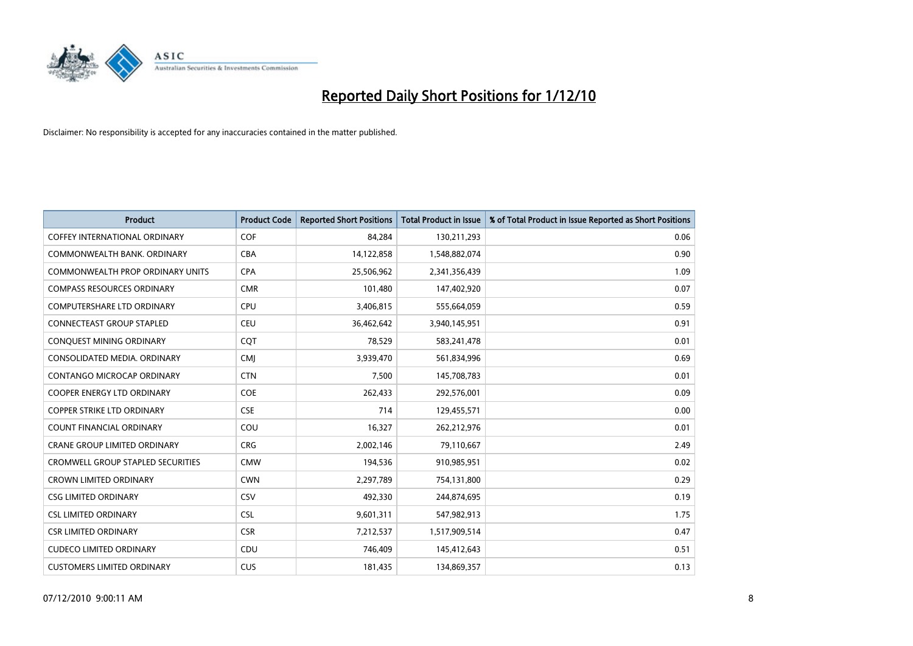

| <b>Product</b>                           | <b>Product Code</b> | <b>Reported Short Positions</b> | Total Product in Issue | % of Total Product in Issue Reported as Short Positions |
|------------------------------------------|---------------------|---------------------------------|------------------------|---------------------------------------------------------|
| <b>COFFEY INTERNATIONAL ORDINARY</b>     | <b>COF</b>          | 84,284                          | 130,211,293            | 0.06                                                    |
| COMMONWEALTH BANK, ORDINARY              | <b>CBA</b>          | 14,122,858                      | 1,548,882,074          | 0.90                                                    |
| <b>COMMONWEALTH PROP ORDINARY UNITS</b>  | <b>CPA</b>          | 25,506,962                      | 2,341,356,439          | 1.09                                                    |
| <b>COMPASS RESOURCES ORDINARY</b>        | <b>CMR</b>          | 101,480                         | 147,402,920            | 0.07                                                    |
| <b>COMPUTERSHARE LTD ORDINARY</b>        | CPU                 | 3,406,815                       | 555,664,059            | 0.59                                                    |
| <b>CONNECTEAST GROUP STAPLED</b>         | <b>CEU</b>          | 36,462,642                      | 3,940,145,951          | 0.91                                                    |
| CONQUEST MINING ORDINARY                 | CQT                 | 78,529                          | 583,241,478            | 0.01                                                    |
| CONSOLIDATED MEDIA. ORDINARY             | <b>CMJ</b>          | 3,939,470                       | 561,834,996            | 0.69                                                    |
| CONTANGO MICROCAP ORDINARY               | <b>CTN</b>          | 7,500                           | 145,708,783            | 0.01                                                    |
| <b>COOPER ENERGY LTD ORDINARY</b>        | <b>COE</b>          | 262,433                         | 292,576,001            | 0.09                                                    |
| <b>COPPER STRIKE LTD ORDINARY</b>        | <b>CSE</b>          | 714                             | 129,455,571            | 0.00                                                    |
| COUNT FINANCIAL ORDINARY                 | COU                 | 16,327                          | 262,212,976            | 0.01                                                    |
| <b>CRANE GROUP LIMITED ORDINARY</b>      | <b>CRG</b>          | 2,002,146                       | 79,110,667             | 2.49                                                    |
| <b>CROMWELL GROUP STAPLED SECURITIES</b> | <b>CMW</b>          | 194,536                         | 910,985,951            | 0.02                                                    |
| <b>CROWN LIMITED ORDINARY</b>            | <b>CWN</b>          | 2,297,789                       | 754,131,800            | 0.29                                                    |
| <b>CSG LIMITED ORDINARY</b>              | CSV                 | 492.330                         | 244,874,695            | 0.19                                                    |
| <b>CSL LIMITED ORDINARY</b>              | <b>CSL</b>          | 9,601,311                       | 547,982,913            | 1.75                                                    |
| <b>CSR LIMITED ORDINARY</b>              | <b>CSR</b>          | 7,212,537                       | 1,517,909,514          | 0.47                                                    |
| <b>CUDECO LIMITED ORDINARY</b>           | CDU                 | 746,409                         | 145,412,643            | 0.51                                                    |
| <b>CUSTOMERS LIMITED ORDINARY</b>        | CUS                 | 181,435                         | 134,869,357            | 0.13                                                    |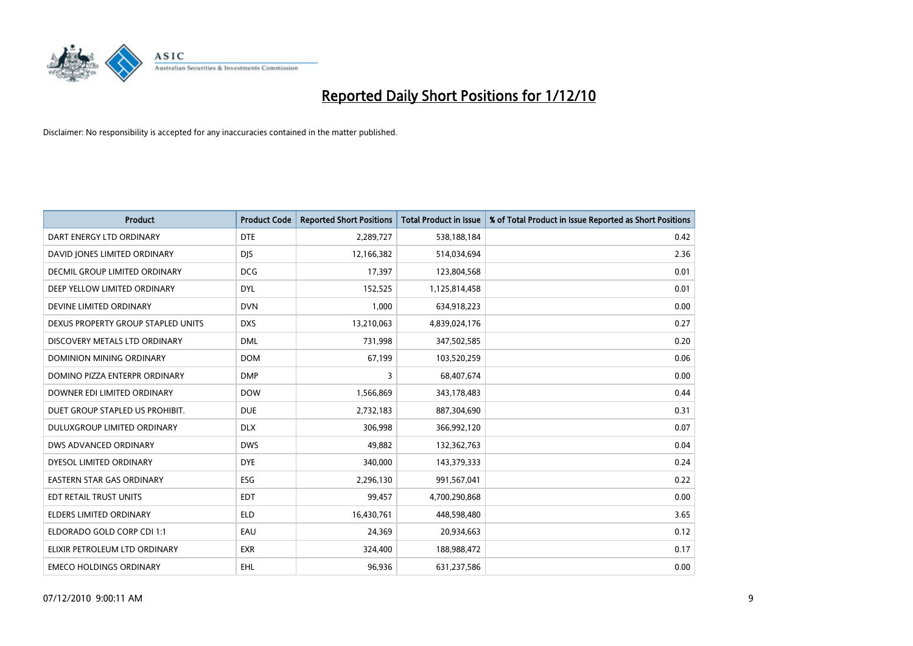

| <b>Product</b>                       | <b>Product Code</b> | <b>Reported Short Positions</b> | Total Product in Issue | % of Total Product in Issue Reported as Short Positions |
|--------------------------------------|---------------------|---------------------------------|------------------------|---------------------------------------------------------|
| DART ENERGY LTD ORDINARY             | <b>DTE</b>          | 2,289,727                       | 538,188,184            | 0.42                                                    |
| DAVID JONES LIMITED ORDINARY         | <b>DIS</b>          | 12,166,382                      | 514,034,694            | 2.36                                                    |
| <b>DECMIL GROUP LIMITED ORDINARY</b> | <b>DCG</b>          | 17,397                          | 123,804,568            | 0.01                                                    |
| DEEP YELLOW LIMITED ORDINARY         | <b>DYL</b>          | 152,525                         | 1,125,814,458          | 0.01                                                    |
| DEVINE LIMITED ORDINARY              | <b>DVN</b>          | 1,000                           | 634,918,223            | 0.00                                                    |
| DEXUS PROPERTY GROUP STAPLED UNITS   | <b>DXS</b>          | 13,210,063                      | 4,839,024,176          | 0.27                                                    |
| DISCOVERY METALS LTD ORDINARY        | <b>DML</b>          | 731,998                         | 347,502,585            | 0.20                                                    |
| DOMINION MINING ORDINARY             | <b>DOM</b>          | 67,199                          | 103,520,259            | 0.06                                                    |
| DOMINO PIZZA ENTERPR ORDINARY        | <b>DMP</b>          | 3                               | 68,407,674             | 0.00                                                    |
| DOWNER EDI LIMITED ORDINARY          | <b>DOW</b>          | 1,566,869                       | 343,178,483            | 0.44                                                    |
| DUET GROUP STAPLED US PROHIBIT.      | <b>DUE</b>          | 2,732,183                       | 887,304,690            | 0.31                                                    |
| <b>DULUXGROUP LIMITED ORDINARY</b>   | <b>DLX</b>          | 306,998                         | 366,992,120            | 0.07                                                    |
| DWS ADVANCED ORDINARY                | <b>DWS</b>          | 49.882                          | 132,362,763            | 0.04                                                    |
| DYESOL LIMITED ORDINARY              | <b>DYE</b>          | 340.000                         | 143,379,333            | 0.24                                                    |
| <b>EASTERN STAR GAS ORDINARY</b>     | ESG                 | 2,296,130                       | 991,567,041            | 0.22                                                    |
| EDT RETAIL TRUST UNITS               | <b>EDT</b>          | 99,457                          | 4,700,290,868          | 0.00                                                    |
| <b>ELDERS LIMITED ORDINARY</b>       | <b>ELD</b>          | 16,430,761                      | 448,598,480            | 3.65                                                    |
| ELDORADO GOLD CORP CDI 1:1           | EAU                 | 24,369                          | 20,934,663             | 0.12                                                    |
| ELIXIR PETROLEUM LTD ORDINARY        | <b>EXR</b>          | 324,400                         | 188,988,472            | 0.17                                                    |
| <b>EMECO HOLDINGS ORDINARY</b>       | <b>EHL</b>          | 96,936                          | 631,237,586            | 0.00                                                    |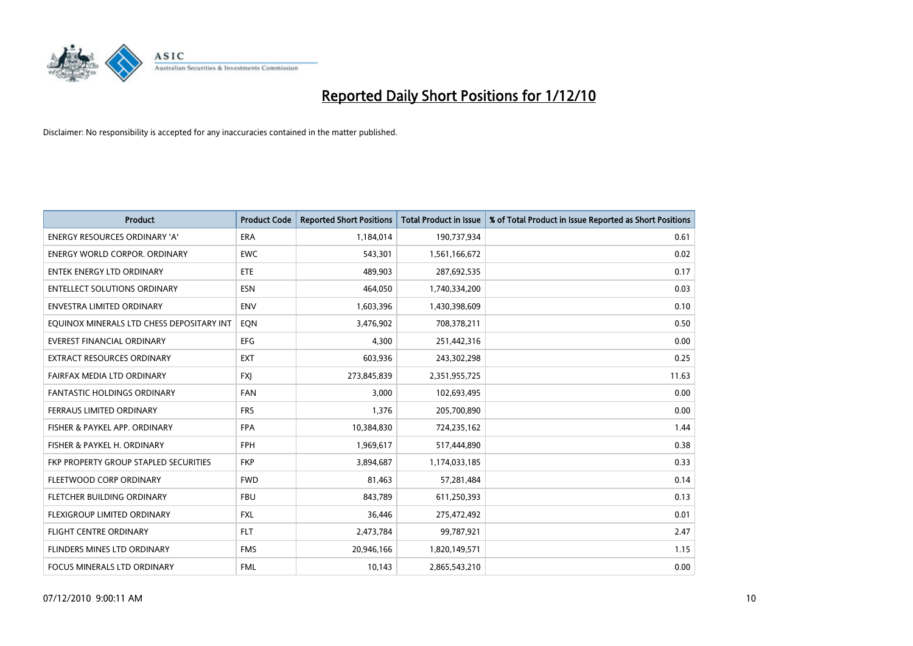

| <b>Product</b>                            | <b>Product Code</b> | <b>Reported Short Positions</b> | Total Product in Issue | % of Total Product in Issue Reported as Short Positions |
|-------------------------------------------|---------------------|---------------------------------|------------------------|---------------------------------------------------------|
| <b>ENERGY RESOURCES ORDINARY 'A'</b>      | <b>ERA</b>          | 1,184,014                       | 190,737,934            | 0.61                                                    |
| ENERGY WORLD CORPOR. ORDINARY             | <b>EWC</b>          | 543,301                         | 1,561,166,672          | 0.02                                                    |
| ENTEK ENERGY LTD ORDINARY                 | <b>ETE</b>          | 489,903                         | 287,692,535            | 0.17                                                    |
| ENTELLECT SOLUTIONS ORDINARY              | <b>ESN</b>          | 464,050                         | 1,740,334,200          | 0.03                                                    |
| <b>ENVESTRA LIMITED ORDINARY</b>          | <b>ENV</b>          | 1,603,396                       | 1,430,398,609          | 0.10                                                    |
| EQUINOX MINERALS LTD CHESS DEPOSITARY INT | EON                 | 3,476,902                       | 708,378,211            | 0.50                                                    |
| EVEREST FINANCIAL ORDINARY                | <b>EFG</b>          | 4,300                           | 251,442,316            | 0.00                                                    |
| EXTRACT RESOURCES ORDINARY                | <b>EXT</b>          | 603,936                         | 243,302,298            | 0.25                                                    |
| FAIRFAX MEDIA LTD ORDINARY                | <b>FXI</b>          | 273,845,839                     | 2,351,955,725          | 11.63                                                   |
| <b>FANTASTIC HOLDINGS ORDINARY</b>        | <b>FAN</b>          | 3,000                           | 102,693,495            | 0.00                                                    |
| FERRAUS LIMITED ORDINARY                  | <b>FRS</b>          | 1,376                           | 205,700,890            | 0.00                                                    |
| FISHER & PAYKEL APP. ORDINARY             | <b>FPA</b>          | 10,384,830                      | 724,235,162            | 1.44                                                    |
| FISHER & PAYKEL H. ORDINARY               | <b>FPH</b>          | 1,969,617                       | 517,444,890            | 0.38                                                    |
| FKP PROPERTY GROUP STAPLED SECURITIES     | <b>FKP</b>          | 3,894,687                       | 1,174,033,185          | 0.33                                                    |
| FLEETWOOD CORP ORDINARY                   | <b>FWD</b>          | 81,463                          | 57,281,484             | 0.14                                                    |
| FLETCHER BUILDING ORDINARY                | <b>FBU</b>          | 843.789                         | 611,250,393            | 0.13                                                    |
| FLEXIGROUP LIMITED ORDINARY               | <b>FXL</b>          | 36,446                          | 275,472,492            | 0.01                                                    |
| <b>FLIGHT CENTRE ORDINARY</b>             | <b>FLT</b>          | 2,473,784                       | 99,787,921             | 2.47                                                    |
| FLINDERS MINES LTD ORDINARY               | <b>FMS</b>          | 20,946,166                      | 1,820,149,571          | 1.15                                                    |
| FOCUS MINERALS LTD ORDINARY               | <b>FML</b>          | 10,143                          | 2,865,543,210          | 0.00                                                    |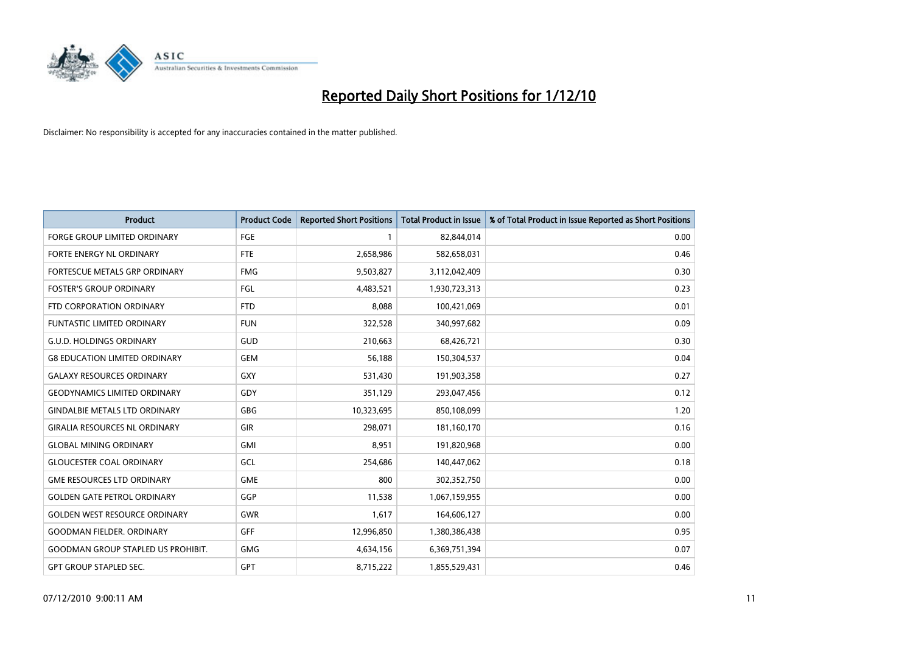

| <b>Product</b>                            | <b>Product Code</b> | <b>Reported Short Positions</b> | <b>Total Product in Issue</b> | % of Total Product in Issue Reported as Short Positions |
|-------------------------------------------|---------------------|---------------------------------|-------------------------------|---------------------------------------------------------|
| <b>FORGE GROUP LIMITED ORDINARY</b>       | <b>FGE</b>          |                                 | 82,844,014                    | 0.00                                                    |
| FORTE ENERGY NL ORDINARY                  | <b>FTE</b>          | 2,658,986                       | 582,658,031                   | 0.46                                                    |
| FORTESCUE METALS GRP ORDINARY             | <b>FMG</b>          | 9,503,827                       | 3,112,042,409                 | 0.30                                                    |
| <b>FOSTER'S GROUP ORDINARY</b>            | FGL                 | 4,483,521                       | 1,930,723,313                 | 0.23                                                    |
| FTD CORPORATION ORDINARY                  | <b>FTD</b>          | 8,088                           | 100,421,069                   | 0.01                                                    |
| <b>FUNTASTIC LIMITED ORDINARY</b>         | <b>FUN</b>          | 322,528                         | 340,997,682                   | 0.09                                                    |
| <b>G.U.D. HOLDINGS ORDINARY</b>           | GUD                 | 210,663                         | 68,426,721                    | 0.30                                                    |
| <b>G8 EDUCATION LIMITED ORDINARY</b>      | <b>GEM</b>          | 56,188                          | 150,304,537                   | 0.04                                                    |
| <b>GALAXY RESOURCES ORDINARY</b>          | <b>GXY</b>          | 531,430                         | 191,903,358                   | 0.27                                                    |
| <b>GEODYNAMICS LIMITED ORDINARY</b>       | GDY                 | 351,129                         | 293,047,456                   | 0.12                                                    |
| <b>GINDALBIE METALS LTD ORDINARY</b>      | <b>GBG</b>          | 10,323,695                      | 850,108,099                   | 1.20                                                    |
| <b>GIRALIA RESOURCES NL ORDINARY</b>      | <b>GIR</b>          | 298,071                         | 181,160,170                   | 0.16                                                    |
| <b>GLOBAL MINING ORDINARY</b>             | <b>GMI</b>          | 8,951                           | 191,820,968                   | 0.00                                                    |
| <b>GLOUCESTER COAL ORDINARY</b>           | GCL                 | 254,686                         | 140,447,062                   | 0.18                                                    |
| <b>GME RESOURCES LTD ORDINARY</b>         | <b>GME</b>          | 800                             | 302,352,750                   | 0.00                                                    |
| <b>GOLDEN GATE PETROL ORDINARY</b>        | GGP                 | 11,538                          | 1,067,159,955                 | 0.00                                                    |
| <b>GOLDEN WEST RESOURCE ORDINARY</b>      | GWR                 | 1,617                           | 164,606,127                   | 0.00                                                    |
| <b>GOODMAN FIELDER. ORDINARY</b>          | <b>GFF</b>          | 12,996,850                      | 1,380,386,438                 | 0.95                                                    |
| <b>GOODMAN GROUP STAPLED US PROHIBIT.</b> | <b>GMG</b>          | 4,634,156                       | 6,369,751,394                 | 0.07                                                    |
| <b>GPT GROUP STAPLED SEC.</b>             | GPT                 | 8,715,222                       | 1,855,529,431                 | 0.46                                                    |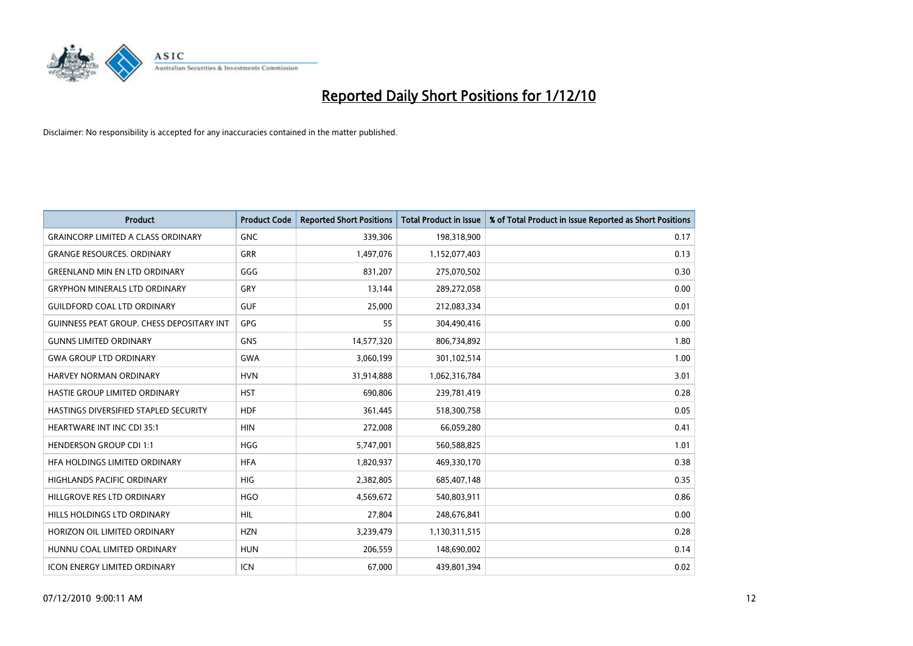

| <b>Product</b>                                   | <b>Product Code</b> | <b>Reported Short Positions</b> | <b>Total Product in Issue</b> | % of Total Product in Issue Reported as Short Positions |
|--------------------------------------------------|---------------------|---------------------------------|-------------------------------|---------------------------------------------------------|
| <b>GRAINCORP LIMITED A CLASS ORDINARY</b>        | <b>GNC</b>          | 339,306                         | 198,318,900                   | 0.17                                                    |
| <b>GRANGE RESOURCES. ORDINARY</b>                | <b>GRR</b>          | 1,497,076                       | 1,152,077,403                 | 0.13                                                    |
| <b>GREENLAND MIN EN LTD ORDINARY</b>             | GGG                 | 831,207                         | 275,070,502                   | 0.30                                                    |
| <b>GRYPHON MINERALS LTD ORDINARY</b>             | GRY                 | 13,144                          | 289,272,058                   | 0.00                                                    |
| <b>GUILDFORD COAL LTD ORDINARY</b>               | <b>GUF</b>          | 25,000                          | 212,083,334                   | 0.01                                                    |
| <b>GUINNESS PEAT GROUP. CHESS DEPOSITARY INT</b> | GPG                 | 55                              | 304,490,416                   | 0.00                                                    |
| <b>GUNNS LIMITED ORDINARY</b>                    | <b>GNS</b>          | 14,577,320                      | 806,734,892                   | 1.80                                                    |
| <b>GWA GROUP LTD ORDINARY</b>                    | <b>GWA</b>          | 3,060,199                       | 301,102,514                   | 1.00                                                    |
| HARVEY NORMAN ORDINARY                           | <b>HVN</b>          | 31,914,888                      | 1,062,316,784                 | 3.01                                                    |
| HASTIE GROUP LIMITED ORDINARY                    | <b>HST</b>          | 690,806                         | 239,781,419                   | 0.28                                                    |
| HASTINGS DIVERSIFIED STAPLED SECURITY            | <b>HDF</b>          | 361,445                         | 518,300,758                   | 0.05                                                    |
| <b>HEARTWARE INT INC CDI 35:1</b>                | <b>HIN</b>          | 272,008                         | 66,059,280                    | 0.41                                                    |
| <b>HENDERSON GROUP CDI 1:1</b>                   | <b>HGG</b>          | 5,747,001                       | 560,588,825                   | 1.01                                                    |
| HFA HOLDINGS LIMITED ORDINARY                    | <b>HFA</b>          | 1,820,937                       | 469,330,170                   | 0.38                                                    |
| <b>HIGHLANDS PACIFIC ORDINARY</b>                | <b>HIG</b>          | 2,382,805                       | 685,407,148                   | 0.35                                                    |
| HILLGROVE RES LTD ORDINARY                       | <b>HGO</b>          | 4,569,672                       | 540,803,911                   | 0.86                                                    |
| HILLS HOLDINGS LTD ORDINARY                      | <b>HIL</b>          | 27,804                          | 248,676,841                   | 0.00                                                    |
| HORIZON OIL LIMITED ORDINARY                     | <b>HZN</b>          | 3,239,479                       | 1,130,311,515                 | 0.28                                                    |
| HUNNU COAL LIMITED ORDINARY                      | <b>HUN</b>          | 206,559                         | 148,690,002                   | 0.14                                                    |
| ICON ENERGY LIMITED ORDINARY                     | <b>ICN</b>          | 67,000                          | 439,801,394                   | 0.02                                                    |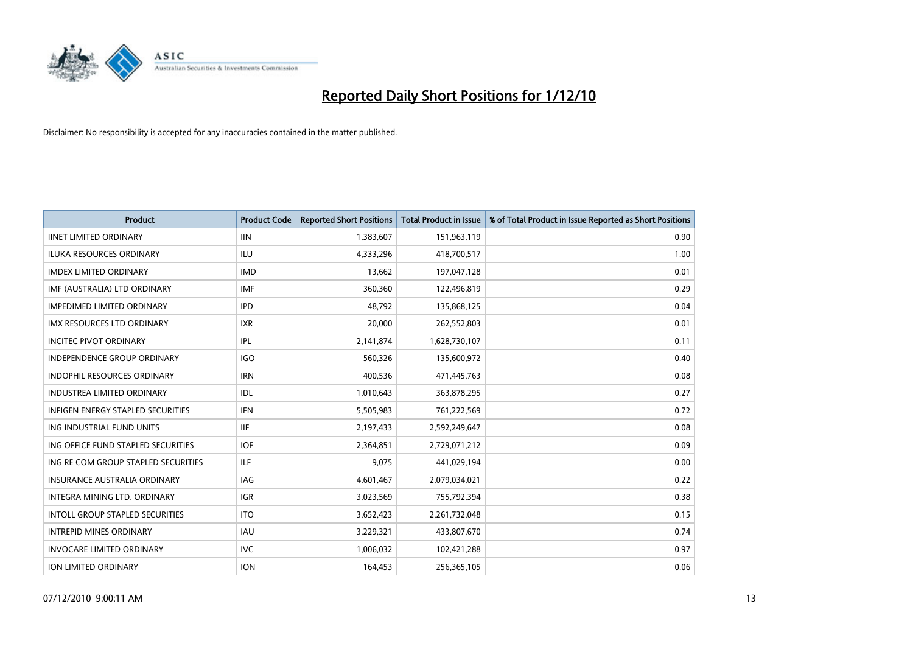

| <b>Product</b>                           | <b>Product Code</b> | <b>Reported Short Positions</b> | <b>Total Product in Issue</b> | % of Total Product in Issue Reported as Short Positions |
|------------------------------------------|---------------------|---------------------------------|-------------------------------|---------------------------------------------------------|
| <b>IINET LIMITED ORDINARY</b>            | <b>IIN</b>          | 1,383,607                       | 151,963,119                   | 0.90                                                    |
| ILUKA RESOURCES ORDINARY                 | ILU                 | 4,333,296                       | 418,700,517                   | 1.00                                                    |
| <b>IMDEX LIMITED ORDINARY</b>            | <b>IMD</b>          | 13,662                          | 197,047,128                   | 0.01                                                    |
| IMF (AUSTRALIA) LTD ORDINARY             | <b>IMF</b>          | 360,360                         | 122,496,819                   | 0.29                                                    |
| <b>IMPEDIMED LIMITED ORDINARY</b>        | <b>IPD</b>          | 48,792                          | 135,868,125                   | 0.04                                                    |
| <b>IMX RESOURCES LTD ORDINARY</b>        | <b>IXR</b>          | 20,000                          | 262,552,803                   | 0.01                                                    |
| <b>INCITEC PIVOT ORDINARY</b>            | <b>IPL</b>          | 2,141,874                       | 1,628,730,107                 | 0.11                                                    |
| INDEPENDENCE GROUP ORDINARY              | <b>IGO</b>          | 560,326                         | 135,600,972                   | 0.40                                                    |
| <b>INDOPHIL RESOURCES ORDINARY</b>       | <b>IRN</b>          | 400,536                         | 471,445,763                   | 0.08                                                    |
| <b>INDUSTREA LIMITED ORDINARY</b>        | IDL                 | 1,010,643                       | 363,878,295                   | 0.27                                                    |
| <b>INFIGEN ENERGY STAPLED SECURITIES</b> | <b>IFN</b>          | 5,505,983                       | 761,222,569                   | 0.72                                                    |
| ING INDUSTRIAL FUND UNITS                | <b>IIF</b>          | 2,197,433                       | 2,592,249,647                 | 0.08                                                    |
| ING OFFICE FUND STAPLED SECURITIES       | <b>IOF</b>          | 2,364,851                       | 2,729,071,212                 | 0.09                                                    |
| ING RE COM GROUP STAPLED SECURITIES      | <b>ILF</b>          | 9,075                           | 441,029,194                   | 0.00                                                    |
| <b>INSURANCE AUSTRALIA ORDINARY</b>      | IAG                 | 4,601,467                       | 2,079,034,021                 | 0.22                                                    |
| INTEGRA MINING LTD. ORDINARY             | <b>IGR</b>          | 3,023,569                       | 755,792,394                   | 0.38                                                    |
| INTOLL GROUP STAPLED SECURITIES          | <b>ITO</b>          | 3,652,423                       | 2,261,732,048                 | 0.15                                                    |
| <b>INTREPID MINES ORDINARY</b>           | <b>IAU</b>          | 3,229,321                       | 433,807,670                   | 0.74                                                    |
| <b>INVOCARE LIMITED ORDINARY</b>         | <b>IVC</b>          | 1,006,032                       | 102,421,288                   | 0.97                                                    |
| ION LIMITED ORDINARY                     | <b>ION</b>          | 164,453                         | 256,365,105                   | 0.06                                                    |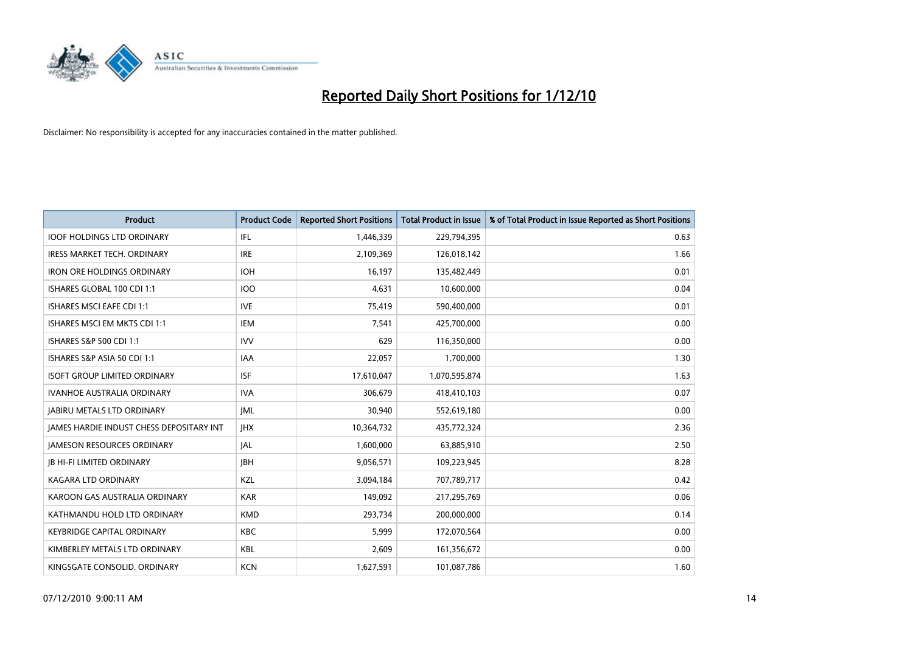

| <b>Product</b>                                  | <b>Product Code</b> | <b>Reported Short Positions</b> | <b>Total Product in Issue</b> | % of Total Product in Issue Reported as Short Positions |
|-------------------------------------------------|---------------------|---------------------------------|-------------------------------|---------------------------------------------------------|
| <b>IOOF HOLDINGS LTD ORDINARY</b>               | <b>IFL</b>          | 1,446,339                       | 229,794,395                   | 0.63                                                    |
| <b>IRESS MARKET TECH. ORDINARY</b>              | <b>IRE</b>          | 2,109,369                       | 126,018,142                   | 1.66                                                    |
| <b>IRON ORE HOLDINGS ORDINARY</b>               | <b>IOH</b>          | 16,197                          | 135,482,449                   | 0.01                                                    |
| ISHARES GLOBAL 100 CDI 1:1                      | 100                 | 4,631                           | 10,600,000                    | 0.04                                                    |
| <b>ISHARES MSCI EAFE CDI 1:1</b>                | <b>IVE</b>          | 75,419                          | 590,400,000                   | 0.01                                                    |
| <b>ISHARES MSCLEM MKTS CDL1:1</b>               | <b>IEM</b>          | 7,541                           | 425,700,000                   | 0.00                                                    |
| ISHARES S&P 500 CDI 1:1                         | <b>IVV</b>          | 629                             | 116,350,000                   | 0.00                                                    |
| ISHARES S&P ASIA 50 CDI 1:1                     | <b>IAA</b>          | 22,057                          | 1,700,000                     | 1.30                                                    |
| <b>ISOFT GROUP LIMITED ORDINARY</b>             | <b>ISF</b>          | 17,610,047                      | 1,070,595,874                 | 1.63                                                    |
| <b>IVANHOE AUSTRALIA ORDINARY</b>               | <b>IVA</b>          | 306.679                         | 418,410,103                   | 0.07                                                    |
| <b>JABIRU METALS LTD ORDINARY</b>               | <b>IML</b>          | 30,940                          | 552,619,180                   | 0.00                                                    |
| <b>JAMES HARDIE INDUST CHESS DEPOSITARY INT</b> | <b>IHX</b>          | 10,364,732                      | 435,772,324                   | 2.36                                                    |
| <b>JAMESON RESOURCES ORDINARY</b>               | <b>JAL</b>          | 1,600,000                       | 63,885,910                    | 2.50                                                    |
| <b>IB HI-FI LIMITED ORDINARY</b>                | <b>IBH</b>          | 9,056,571                       | 109,223,945                   | 8.28                                                    |
| KAGARA LTD ORDINARY                             | KZL                 | 3,094,184                       | 707,789,717                   | 0.42                                                    |
| KAROON GAS AUSTRALIA ORDINARY                   | <b>KAR</b>          | 149,092                         | 217,295,769                   | 0.06                                                    |
| KATHMANDU HOLD LTD ORDINARY                     | <b>KMD</b>          | 293,734                         | 200,000,000                   | 0.14                                                    |
| <b>KEYBRIDGE CAPITAL ORDINARY</b>               | <b>KBC</b>          | 5,999                           | 172,070,564                   | 0.00                                                    |
| KIMBERLEY METALS LTD ORDINARY                   | <b>KBL</b>          | 2,609                           | 161,356,672                   | 0.00                                                    |
| KINGSGATE CONSOLID. ORDINARY                    | <b>KCN</b>          | 1,627,591                       | 101,087,786                   | 1.60                                                    |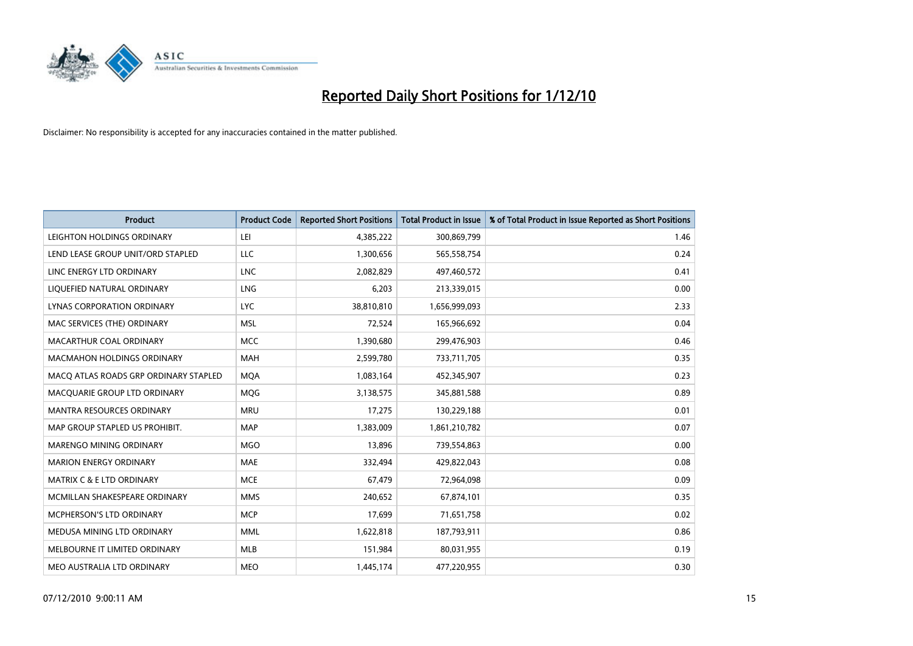

| <b>Product</b>                        | <b>Product Code</b> | <b>Reported Short Positions</b> | Total Product in Issue | % of Total Product in Issue Reported as Short Positions |
|---------------------------------------|---------------------|---------------------------------|------------------------|---------------------------------------------------------|
| LEIGHTON HOLDINGS ORDINARY            | LEI                 | 4,385,222                       | 300,869,799            | 1.46                                                    |
| LEND LEASE GROUP UNIT/ORD STAPLED     | LLC                 | 1,300,656                       | 565,558,754            | 0.24                                                    |
| LINC ENERGY LTD ORDINARY              | <b>LNC</b>          | 2,082,829                       | 497,460,572            | 0.41                                                    |
| LIQUEFIED NATURAL ORDINARY            | <b>LNG</b>          | 6,203                           | 213,339,015            | 0.00                                                    |
| LYNAS CORPORATION ORDINARY            | <b>LYC</b>          | 38,810,810                      | 1,656,999,093          | 2.33                                                    |
| MAC SERVICES (THE) ORDINARY           | <b>MSL</b>          | 72,524                          | 165,966,692            | 0.04                                                    |
| MACARTHUR COAL ORDINARY               | <b>MCC</b>          | 1,390,680                       | 299,476,903            | 0.46                                                    |
| <b>MACMAHON HOLDINGS ORDINARY</b>     | <b>MAH</b>          | 2,599,780                       | 733,711,705            | 0.35                                                    |
| MACQ ATLAS ROADS GRP ORDINARY STAPLED | <b>MOA</b>          | 1,083,164                       | 452,345,907            | 0.23                                                    |
| MACQUARIE GROUP LTD ORDINARY          | <b>MOG</b>          | 3,138,575                       | 345,881,588            | 0.89                                                    |
| MANTRA RESOURCES ORDINARY             | <b>MRU</b>          | 17,275                          | 130,229,188            | 0.01                                                    |
| MAP GROUP STAPLED US PROHIBIT.        | <b>MAP</b>          | 1,383,009                       | 1,861,210,782          | 0.07                                                    |
| <b>MARENGO MINING ORDINARY</b>        | <b>MGO</b>          | 13,896                          | 739,554,863            | 0.00                                                    |
| <b>MARION ENERGY ORDINARY</b>         | <b>MAE</b>          | 332,494                         | 429,822,043            | 0.08                                                    |
| MATRIX C & E LTD ORDINARY             | <b>MCE</b>          | 67,479                          | 72,964,098             | 0.09                                                    |
| MCMILLAN SHAKESPEARE ORDINARY         | <b>MMS</b>          | 240,652                         | 67,874,101             | 0.35                                                    |
| MCPHERSON'S LTD ORDINARY              | <b>MCP</b>          | 17,699                          | 71,651,758             | 0.02                                                    |
| MEDUSA MINING LTD ORDINARY            | <b>MML</b>          | 1,622,818                       | 187,793,911            | 0.86                                                    |
| MELBOURNE IT LIMITED ORDINARY         | MLB                 | 151,984                         | 80,031,955             | 0.19                                                    |
| MEO AUSTRALIA LTD ORDINARY            | <b>MEO</b>          | 1,445,174                       | 477,220,955            | 0.30                                                    |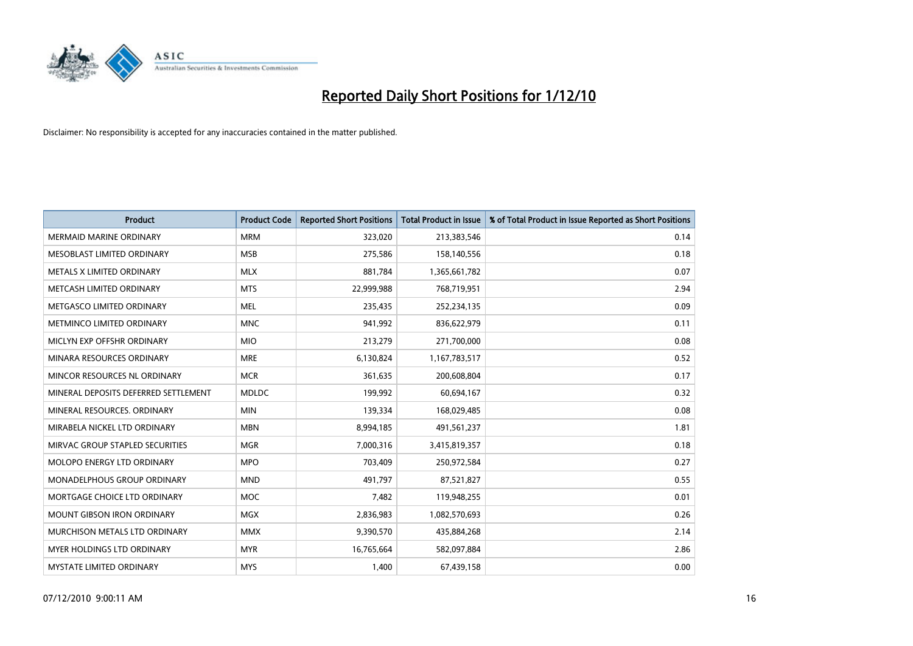

| <b>Product</b>                       | <b>Product Code</b> | <b>Reported Short Positions</b> | Total Product in Issue | % of Total Product in Issue Reported as Short Positions |
|--------------------------------------|---------------------|---------------------------------|------------------------|---------------------------------------------------------|
| <b>MERMAID MARINE ORDINARY</b>       | <b>MRM</b>          | 323,020                         | 213,383,546            | 0.14                                                    |
| MESOBLAST LIMITED ORDINARY           | <b>MSB</b>          | 275,586                         | 158,140,556            | 0.18                                                    |
| METALS X LIMITED ORDINARY            | <b>MLX</b>          | 881,784                         | 1,365,661,782          | 0.07                                                    |
| METCASH LIMITED ORDINARY             | <b>MTS</b>          | 22,999,988                      | 768,719,951            | 2.94                                                    |
| METGASCO LIMITED ORDINARY            | <b>MEL</b>          | 235,435                         | 252,234,135            | 0.09                                                    |
| METMINCO LIMITED ORDINARY            | <b>MNC</b>          | 941,992                         | 836,622,979            | 0.11                                                    |
| MICLYN EXP OFFSHR ORDINARY           | <b>MIO</b>          | 213,279                         | 271,700,000            | 0.08                                                    |
| MINARA RESOURCES ORDINARY            | <b>MRE</b>          | 6,130,824                       | 1,167,783,517          | 0.52                                                    |
| MINCOR RESOURCES NL ORDINARY         | <b>MCR</b>          | 361,635                         | 200,608,804            | 0.17                                                    |
| MINERAL DEPOSITS DEFERRED SETTLEMENT | <b>MDLDC</b>        | 199,992                         | 60,694,167             | 0.32                                                    |
| MINERAL RESOURCES. ORDINARY          | <b>MIN</b>          | 139,334                         | 168,029,485            | 0.08                                                    |
| MIRABELA NICKEL LTD ORDINARY         | <b>MBN</b>          | 8,994,185                       | 491,561,237            | 1.81                                                    |
| MIRVAC GROUP STAPLED SECURITIES      | <b>MGR</b>          | 7,000,316                       | 3,415,819,357          | 0.18                                                    |
| <b>MOLOPO ENERGY LTD ORDINARY</b>    | <b>MPO</b>          | 703,409                         | 250,972,584            | 0.27                                                    |
| MONADELPHOUS GROUP ORDINARY          | <b>MND</b>          | 491,797                         | 87,521,827             | 0.55                                                    |
| MORTGAGE CHOICE LTD ORDINARY         | <b>MOC</b>          | 7,482                           | 119,948,255            | 0.01                                                    |
| MOUNT GIBSON IRON ORDINARY           | <b>MGX</b>          | 2,836,983                       | 1,082,570,693          | 0.26                                                    |
| MURCHISON METALS LTD ORDINARY        | <b>MMX</b>          | 9,390,570                       | 435,884,268            | 2.14                                                    |
| <b>MYER HOLDINGS LTD ORDINARY</b>    | <b>MYR</b>          | 16,765,664                      | 582,097,884            | 2.86                                                    |
| MYSTATE LIMITED ORDINARY             | <b>MYS</b>          | 1,400                           | 67,439,158             | 0.00                                                    |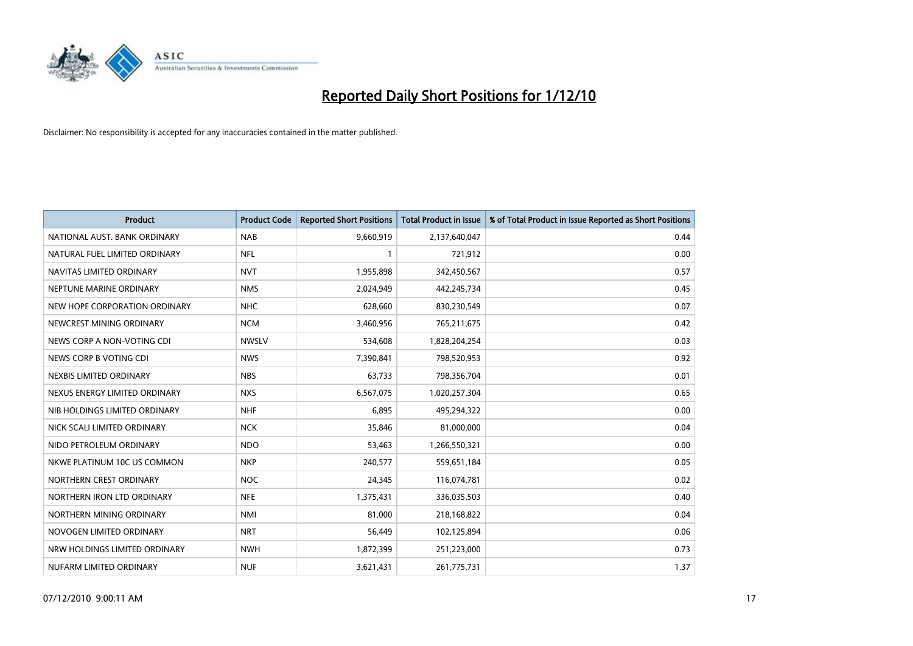

| <b>Product</b>                | <b>Product Code</b> | <b>Reported Short Positions</b> | <b>Total Product in Issue</b> | % of Total Product in Issue Reported as Short Positions |
|-------------------------------|---------------------|---------------------------------|-------------------------------|---------------------------------------------------------|
| NATIONAL AUST. BANK ORDINARY  | <b>NAB</b>          | 9,660,919                       | 2,137,640,047                 | 0.44                                                    |
| NATURAL FUEL LIMITED ORDINARY | <b>NFL</b>          |                                 | 721,912                       | 0.00                                                    |
| NAVITAS LIMITED ORDINARY      | <b>NVT</b>          | 1,955,898                       | 342,450,567                   | 0.57                                                    |
| NEPTUNE MARINE ORDINARY       | <b>NMS</b>          | 2,024,949                       | 442,245,734                   | 0.45                                                    |
| NEW HOPE CORPORATION ORDINARY | <b>NHC</b>          | 628,660                         | 830,230,549                   | 0.07                                                    |
| NEWCREST MINING ORDINARY      | <b>NCM</b>          | 3,460,956                       | 765,211,675                   | 0.42                                                    |
| NEWS CORP A NON-VOTING CDI    | <b>NWSLV</b>        | 534,608                         | 1,828,204,254                 | 0.03                                                    |
| NEWS CORP B VOTING CDI        | <b>NWS</b>          | 7,390,841                       | 798,520,953                   | 0.92                                                    |
| NEXBIS LIMITED ORDINARY       | <b>NBS</b>          | 63,733                          | 798,356,704                   | 0.01                                                    |
| NEXUS ENERGY LIMITED ORDINARY | <b>NXS</b>          | 6,567,075                       | 1,020,257,304                 | 0.65                                                    |
| NIB HOLDINGS LIMITED ORDINARY | <b>NHF</b>          | 6,895                           | 495,294,322                   | 0.00                                                    |
| NICK SCALI LIMITED ORDINARY   | <b>NCK</b>          | 35,846                          | 81,000,000                    | 0.04                                                    |
| NIDO PETROLEUM ORDINARY       | <b>NDO</b>          | 53,463                          | 1,266,550,321                 | 0.00                                                    |
| NKWE PLATINUM 10C US COMMON   | <b>NKP</b>          | 240,577                         | 559,651,184                   | 0.05                                                    |
| NORTHERN CREST ORDINARY       | <b>NOC</b>          | 24,345                          | 116,074,781                   | 0.02                                                    |
| NORTHERN IRON LTD ORDINARY    | <b>NFE</b>          | 1,375,431                       | 336,035,503                   | 0.40                                                    |
| NORTHERN MINING ORDINARY      | <b>NMI</b>          | 81,000                          | 218,168,822                   | 0.04                                                    |
| NOVOGEN LIMITED ORDINARY      | <b>NRT</b>          | 56,449                          | 102,125,894                   | 0.06                                                    |
| NRW HOLDINGS LIMITED ORDINARY | <b>NWH</b>          | 1,872,399                       | 251,223,000                   | 0.73                                                    |
| NUFARM LIMITED ORDINARY       | <b>NUF</b>          | 3,621,431                       | 261,775,731                   | 1.37                                                    |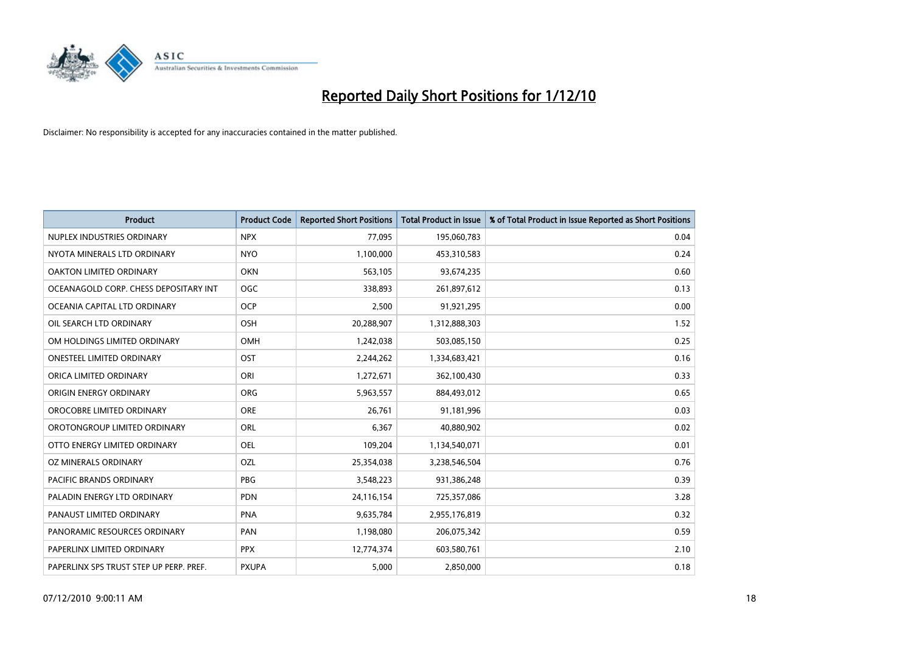

| <b>Product</b>                          | <b>Product Code</b> | <b>Reported Short Positions</b> | <b>Total Product in Issue</b> | % of Total Product in Issue Reported as Short Positions |
|-----------------------------------------|---------------------|---------------------------------|-------------------------------|---------------------------------------------------------|
| NUPLEX INDUSTRIES ORDINARY              | <b>NPX</b>          | 77,095                          | 195,060,783                   | 0.04                                                    |
| NYOTA MINERALS LTD ORDINARY             | <b>NYO</b>          | 1,100,000                       | 453,310,583                   | 0.24                                                    |
| OAKTON LIMITED ORDINARY                 | <b>OKN</b>          | 563,105                         | 93,674,235                    | 0.60                                                    |
| OCEANAGOLD CORP. CHESS DEPOSITARY INT   | OGC                 | 338,893                         | 261,897,612                   | 0.13                                                    |
| OCEANIA CAPITAL LTD ORDINARY            | <b>OCP</b>          | 2,500                           | 91,921,295                    | 0.00                                                    |
| OIL SEARCH LTD ORDINARY                 | OSH                 | 20,288,907                      | 1,312,888,303                 | 1.52                                                    |
| OM HOLDINGS LIMITED ORDINARY            | <b>OMH</b>          | 1,242,038                       | 503,085,150                   | 0.25                                                    |
| <b>ONESTEEL LIMITED ORDINARY</b>        | OST                 | 2,244,262                       | 1,334,683,421                 | 0.16                                                    |
| ORICA LIMITED ORDINARY                  | ORI                 | 1,272,671                       | 362,100,430                   | 0.33                                                    |
| ORIGIN ENERGY ORDINARY                  | <b>ORG</b>          | 5,963,557                       | 884,493,012                   | 0.65                                                    |
| OROCOBRE LIMITED ORDINARY               | <b>ORE</b>          | 26,761                          | 91,181,996                    | 0.03                                                    |
| OROTONGROUP LIMITED ORDINARY            | ORL                 | 6,367                           | 40,880,902                    | 0.02                                                    |
| OTTO ENERGY LIMITED ORDINARY            | <b>OEL</b>          | 109,204                         | 1,134,540,071                 | 0.01                                                    |
| OZ MINERALS ORDINARY                    | OZL                 | 25,354,038                      | 3,238,546,504                 | 0.76                                                    |
| <b>PACIFIC BRANDS ORDINARY</b>          | <b>PBG</b>          | 3,548,223                       | 931,386,248                   | 0.39                                                    |
| PALADIN ENERGY LTD ORDINARY             | <b>PDN</b>          | 24,116,154                      | 725,357,086                   | 3.28                                                    |
| PANAUST LIMITED ORDINARY                | <b>PNA</b>          | 9,635,784                       | 2,955,176,819                 | 0.32                                                    |
| PANORAMIC RESOURCES ORDINARY            | PAN                 | 1,198,080                       | 206,075,342                   | 0.59                                                    |
| PAPERLINX LIMITED ORDINARY              | <b>PPX</b>          | 12,774,374                      | 603,580,761                   | 2.10                                                    |
| PAPERLINX SPS TRUST STEP UP PERP. PREF. | <b>PXUPA</b>        | 5,000                           | 2,850,000                     | 0.18                                                    |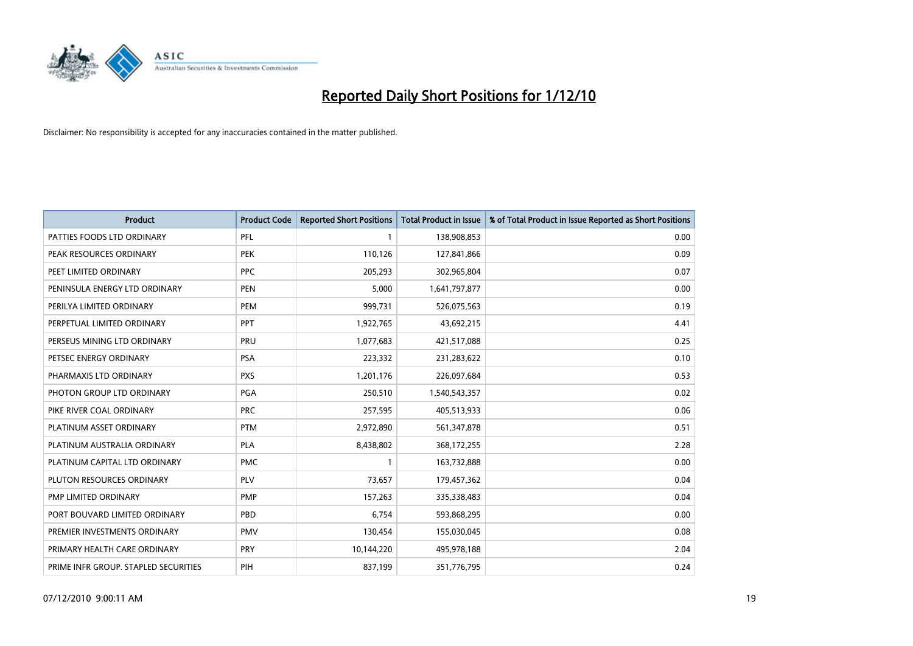

| <b>Product</b>                       | <b>Product Code</b> | <b>Reported Short Positions</b> | <b>Total Product in Issue</b> | % of Total Product in Issue Reported as Short Positions |
|--------------------------------------|---------------------|---------------------------------|-------------------------------|---------------------------------------------------------|
| PATTIES FOODS LTD ORDINARY           | PFL                 |                                 | 138,908,853                   | 0.00                                                    |
| PEAK RESOURCES ORDINARY              | <b>PEK</b>          | 110,126                         | 127,841,866                   | 0.09                                                    |
| PEET LIMITED ORDINARY                | <b>PPC</b>          | 205,293                         | 302,965,804                   | 0.07                                                    |
| PENINSULA ENERGY LTD ORDINARY        | <b>PEN</b>          | 5,000                           | 1,641,797,877                 | 0.00                                                    |
| PERILYA LIMITED ORDINARY             | PEM                 | 999,731                         | 526,075,563                   | 0.19                                                    |
| PERPETUAL LIMITED ORDINARY           | PPT                 | 1,922,765                       | 43,692,215                    | 4.41                                                    |
| PERSEUS MINING LTD ORDINARY          | PRU                 | 1,077,683                       | 421,517,088                   | 0.25                                                    |
| PETSEC ENERGY ORDINARY               | <b>PSA</b>          | 223,332                         | 231,283,622                   | 0.10                                                    |
| PHARMAXIS LTD ORDINARY               | <b>PXS</b>          | 1,201,176                       | 226,097,684                   | 0.53                                                    |
| PHOTON GROUP LTD ORDINARY            | PGA                 | 250,510                         | 1,540,543,357                 | 0.02                                                    |
| PIKE RIVER COAL ORDINARY             | <b>PRC</b>          | 257,595                         | 405,513,933                   | 0.06                                                    |
| PLATINUM ASSET ORDINARY              | <b>PTM</b>          | 2,972,890                       | 561,347,878                   | 0.51                                                    |
| PLATINUM AUSTRALIA ORDINARY          | PLA                 | 8,438,802                       | 368,172,255                   | 2.28                                                    |
| PLATINUM CAPITAL LTD ORDINARY        | <b>PMC</b>          |                                 | 163,732,888                   | 0.00                                                    |
| PLUTON RESOURCES ORDINARY            | <b>PLV</b>          | 73,657                          | 179,457,362                   | 0.04                                                    |
| PMP LIMITED ORDINARY                 | <b>PMP</b>          | 157,263                         | 335,338,483                   | 0.04                                                    |
| PORT BOUVARD LIMITED ORDINARY        | PBD                 | 6,754                           | 593,868,295                   | 0.00                                                    |
| PREMIER INVESTMENTS ORDINARY         | <b>PMV</b>          | 130,454                         | 155,030,045                   | 0.08                                                    |
| PRIMARY HEALTH CARE ORDINARY         | <b>PRY</b>          | 10,144,220                      | 495,978,188                   | 2.04                                                    |
| PRIME INFR GROUP. STAPLED SECURITIES | PIH                 | 837,199                         | 351,776,795                   | 0.24                                                    |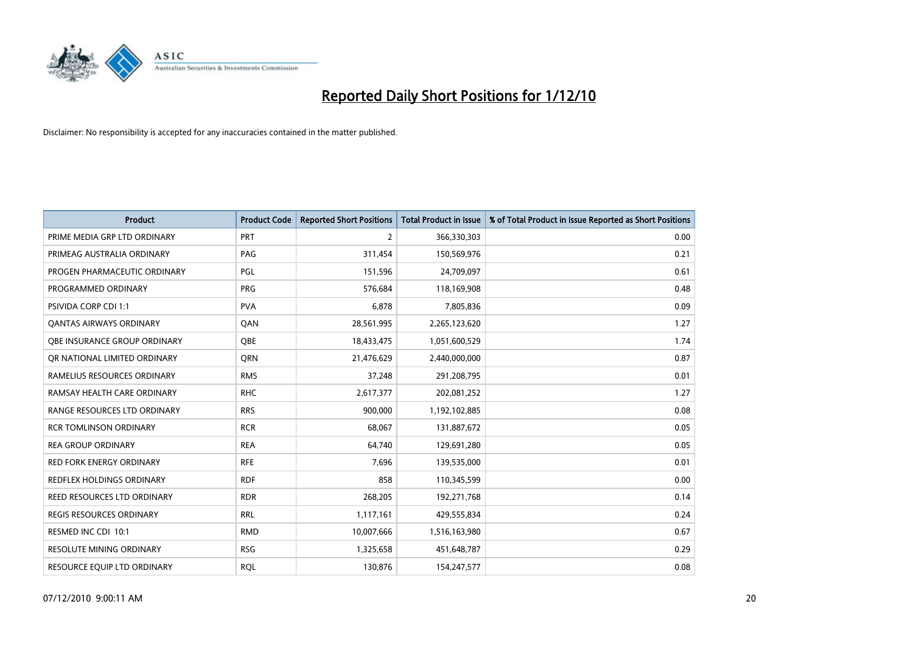

| <b>Product</b>                   | <b>Product Code</b> | <b>Reported Short Positions</b> | Total Product in Issue | % of Total Product in Issue Reported as Short Positions |
|----------------------------------|---------------------|---------------------------------|------------------------|---------------------------------------------------------|
| PRIME MEDIA GRP LTD ORDINARY     | PRT                 | 2                               | 366,330,303            | 0.00                                                    |
| PRIMEAG AUSTRALIA ORDINARY       | PAG                 | 311,454                         | 150,569,976            | 0.21                                                    |
| PROGEN PHARMACEUTIC ORDINARY     | PGL                 | 151,596                         | 24,709,097             | 0.61                                                    |
| PROGRAMMED ORDINARY              | <b>PRG</b>          | 576,684                         | 118,169,908            | 0.48                                                    |
| <b>PSIVIDA CORP CDI 1:1</b>      | <b>PVA</b>          | 6,878                           | 7,805,836              | 0.09                                                    |
| <b>QANTAS AIRWAYS ORDINARY</b>   | QAN                 | 28,561,995                      | 2,265,123,620          | 1.27                                                    |
| OBE INSURANCE GROUP ORDINARY     | OBE                 | 18,433,475                      | 1,051,600,529          | 1.74                                                    |
| OR NATIONAL LIMITED ORDINARY     | <b>ORN</b>          | 21,476,629                      | 2,440,000,000          | 0.87                                                    |
| RAMELIUS RESOURCES ORDINARY      | <b>RMS</b>          | 37,248                          | 291,208,795            | 0.01                                                    |
| RAMSAY HEALTH CARE ORDINARY      | <b>RHC</b>          | 2,617,377                       | 202,081,252            | 1.27                                                    |
| RANGE RESOURCES LTD ORDINARY     | <b>RRS</b>          | 900,000                         | 1,192,102,885          | 0.08                                                    |
| <b>RCR TOMLINSON ORDINARY</b>    | <b>RCR</b>          | 68,067                          | 131,887,672            | 0.05                                                    |
| <b>REA GROUP ORDINARY</b>        | <b>REA</b>          | 64,740                          | 129,691,280            | 0.05                                                    |
| <b>RED FORK ENERGY ORDINARY</b>  | <b>RFE</b>          | 7,696                           | 139,535,000            | 0.01                                                    |
| <b>REDFLEX HOLDINGS ORDINARY</b> | <b>RDF</b>          | 858                             | 110,345,599            | 0.00                                                    |
| REED RESOURCES LTD ORDINARY      | <b>RDR</b>          | 268,205                         | 192,271,768            | 0.14                                                    |
| REGIS RESOURCES ORDINARY         | <b>RRL</b>          | 1,117,161                       | 429,555,834            | 0.24                                                    |
| RESMED INC CDI 10:1              | <b>RMD</b>          | 10,007,666                      | 1,516,163,980          | 0.67                                                    |
| <b>RESOLUTE MINING ORDINARY</b>  | <b>RSG</b>          | 1,325,658                       | 451,648,787            | 0.29                                                    |
| RESOURCE EQUIP LTD ORDINARY      | <b>ROL</b>          | 130,876                         | 154,247,577            | 0.08                                                    |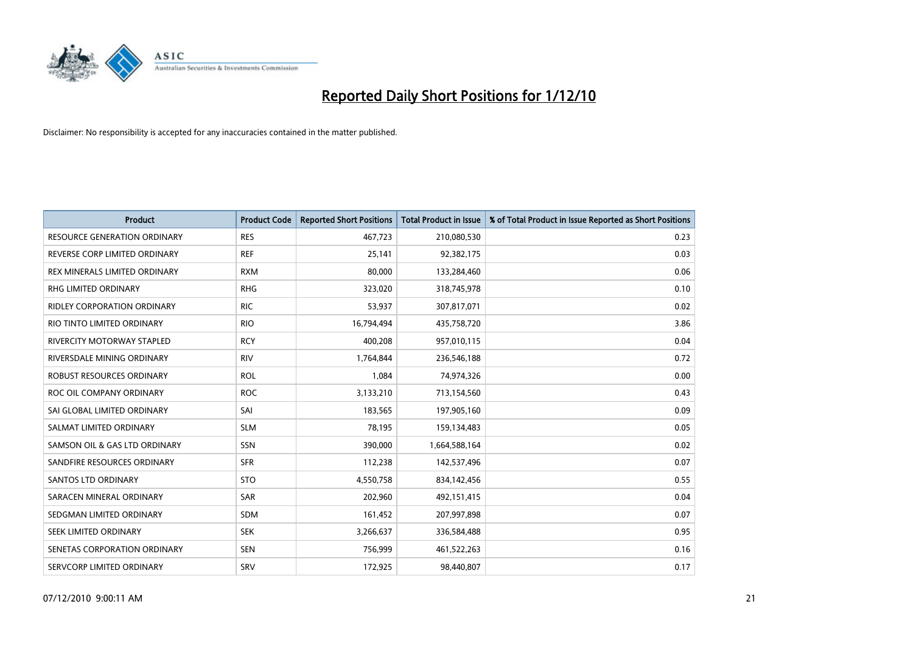

| <b>Product</b>                      | <b>Product Code</b> | <b>Reported Short Positions</b> | Total Product in Issue | % of Total Product in Issue Reported as Short Positions |
|-------------------------------------|---------------------|---------------------------------|------------------------|---------------------------------------------------------|
| <b>RESOURCE GENERATION ORDINARY</b> | <b>RES</b>          | 467,723                         | 210,080,530            | 0.23                                                    |
| REVERSE CORP LIMITED ORDINARY       | <b>REF</b>          | 25,141                          | 92,382,175             | 0.03                                                    |
| REX MINERALS LIMITED ORDINARY       | <b>RXM</b>          | 80.000                          | 133,284,460            | 0.06                                                    |
| RHG LIMITED ORDINARY                | <b>RHG</b>          | 323,020                         | 318,745,978            | 0.10                                                    |
| RIDLEY CORPORATION ORDINARY         | <b>RIC</b>          | 53,937                          | 307,817,071            | 0.02                                                    |
| RIO TINTO LIMITED ORDINARY          | <b>RIO</b>          | 16,794,494                      | 435,758,720            | 3.86                                                    |
| RIVERCITY MOTORWAY STAPLED          | <b>RCY</b>          | 400,208                         | 957,010,115            | 0.04                                                    |
| RIVERSDALE MINING ORDINARY          | <b>RIV</b>          | 1,764,844                       | 236,546,188            | 0.72                                                    |
| ROBUST RESOURCES ORDINARY           | <b>ROL</b>          | 1,084                           | 74,974,326             | 0.00                                                    |
| ROC OIL COMPANY ORDINARY            | <b>ROC</b>          | 3,133,210                       | 713,154,560            | 0.43                                                    |
| SAI GLOBAL LIMITED ORDINARY         | SAI                 | 183,565                         | 197,905,160            | 0.09                                                    |
| SALMAT LIMITED ORDINARY             | <b>SLM</b>          | 78,195                          | 159,134,483            | 0.05                                                    |
| SAMSON OIL & GAS LTD ORDINARY       | SSN                 | 390,000                         | 1,664,588,164          | 0.02                                                    |
| SANDFIRE RESOURCES ORDINARY         | <b>SFR</b>          | 112,238                         | 142,537,496            | 0.07                                                    |
| SANTOS LTD ORDINARY                 | <b>STO</b>          | 4,550,758                       | 834,142,456            | 0.55                                                    |
| SARACEN MINERAL ORDINARY            | <b>SAR</b>          | 202,960                         | 492,151,415            | 0.04                                                    |
| SEDGMAN LIMITED ORDINARY            | SDM                 | 161,452                         | 207,997,898            | 0.07                                                    |
| SEEK LIMITED ORDINARY               | <b>SEK</b>          | 3,266,637                       | 336,584,488            | 0.95                                                    |
| SENETAS CORPORATION ORDINARY        | <b>SEN</b>          | 756,999                         | 461,522,263            | 0.16                                                    |
| SERVCORP LIMITED ORDINARY           | SRV                 | 172,925                         | 98,440,807             | 0.17                                                    |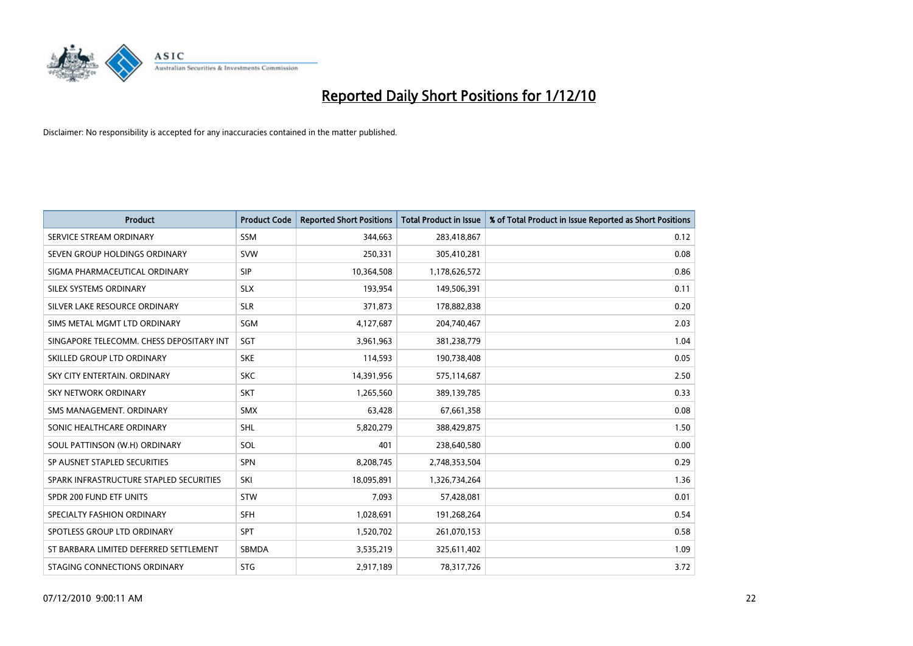

| <b>Product</b>                           | <b>Product Code</b> | <b>Reported Short Positions</b> | <b>Total Product in Issue</b> | % of Total Product in Issue Reported as Short Positions |
|------------------------------------------|---------------------|---------------------------------|-------------------------------|---------------------------------------------------------|
| SERVICE STREAM ORDINARY                  | <b>SSM</b>          | 344,663                         | 283,418,867                   | 0.12                                                    |
| SEVEN GROUP HOLDINGS ORDINARY            | <b>SVW</b>          | 250,331                         | 305,410,281                   | 0.08                                                    |
| SIGMA PHARMACEUTICAL ORDINARY            | <b>SIP</b>          | 10,364,508                      | 1,178,626,572                 | 0.86                                                    |
| SILEX SYSTEMS ORDINARY                   | <b>SLX</b>          | 193,954                         | 149,506,391                   | 0.11                                                    |
| SILVER LAKE RESOURCE ORDINARY            | <b>SLR</b>          | 371,873                         | 178,882,838                   | 0.20                                                    |
| SIMS METAL MGMT LTD ORDINARY             | SGM                 | 4,127,687                       | 204,740,467                   | 2.03                                                    |
| SINGAPORE TELECOMM. CHESS DEPOSITARY INT | SGT                 | 3,961,963                       | 381,238,779                   | 1.04                                                    |
| SKILLED GROUP LTD ORDINARY               | <b>SKE</b>          | 114,593                         | 190,738,408                   | 0.05                                                    |
| SKY CITY ENTERTAIN, ORDINARY             | <b>SKC</b>          | 14,391,956                      | 575,114,687                   | 2.50                                                    |
| <b>SKY NETWORK ORDINARY</b>              | <b>SKT</b>          | 1,265,560                       | 389,139,785                   | 0.33                                                    |
| SMS MANAGEMENT. ORDINARY                 | <b>SMX</b>          | 63,428                          | 67,661,358                    | 0.08                                                    |
| SONIC HEALTHCARE ORDINARY                | <b>SHL</b>          | 5,820,279                       | 388,429,875                   | 1.50                                                    |
| SOUL PATTINSON (W.H) ORDINARY            | SOL                 | 401                             | 238,640,580                   | 0.00                                                    |
| SP AUSNET STAPLED SECURITIES             | SPN                 | 8,208,745                       | 2,748,353,504                 | 0.29                                                    |
| SPARK INFRASTRUCTURE STAPLED SECURITIES  | SKI                 | 18,095,891                      | 1,326,734,264                 | 1.36                                                    |
| SPDR 200 FUND ETF UNITS                  | <b>STW</b>          | 7,093                           | 57,428,081                    | 0.01                                                    |
| SPECIALTY FASHION ORDINARY               | SFH                 | 1,028,691                       | 191,268,264                   | 0.54                                                    |
| SPOTLESS GROUP LTD ORDINARY              | SPT                 | 1,520,702                       | 261,070,153                   | 0.58                                                    |
| ST BARBARA LIMITED DEFERRED SETTLEMENT   | SBMDA               | 3,535,219                       | 325,611,402                   | 1.09                                                    |
| STAGING CONNECTIONS ORDINARY             | <b>STG</b>          | 2,917,189                       | 78,317,726                    | 3.72                                                    |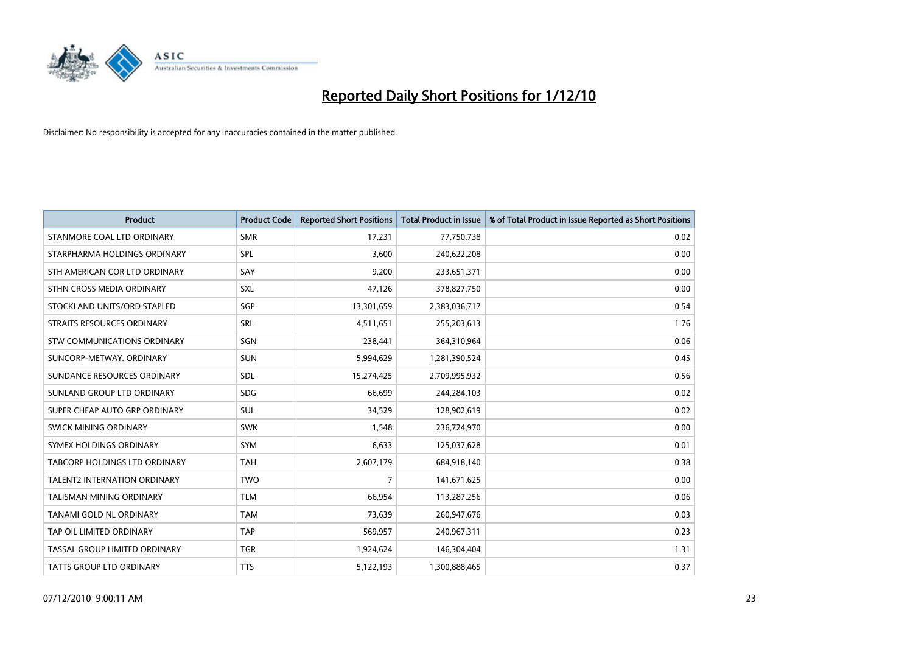

| <b>Product</b>                       | <b>Product Code</b> | <b>Reported Short Positions</b> | Total Product in Issue | % of Total Product in Issue Reported as Short Positions |
|--------------------------------------|---------------------|---------------------------------|------------------------|---------------------------------------------------------|
| STANMORE COAL LTD ORDINARY           | <b>SMR</b>          | 17,231                          | 77,750,738             | 0.02                                                    |
| STARPHARMA HOLDINGS ORDINARY         | SPL                 | 3,600                           | 240,622,208            | 0.00                                                    |
| STH AMERICAN COR LTD ORDINARY        | SAY                 | 9,200                           | 233,651,371            | 0.00                                                    |
| STHN CROSS MEDIA ORDINARY            | <b>SXL</b>          | 47,126                          | 378,827,750            | 0.00                                                    |
| STOCKLAND UNITS/ORD STAPLED          | SGP                 | 13,301,659                      | 2,383,036,717          | 0.54                                                    |
| STRAITS RESOURCES ORDINARY           | SRL                 | 4,511,651                       | 255,203,613            | 1.76                                                    |
| <b>STW COMMUNICATIONS ORDINARY</b>   | SGN                 | 238,441                         | 364,310,964            | 0.06                                                    |
| SUNCORP-METWAY, ORDINARY             | <b>SUN</b>          | 5,994,629                       | 1,281,390,524          | 0.45                                                    |
| SUNDANCE RESOURCES ORDINARY          | <b>SDL</b>          | 15,274,425                      | 2,709,995,932          | 0.56                                                    |
| SUNLAND GROUP LTD ORDINARY           | <b>SDG</b>          | 66,699                          | 244,284,103            | 0.02                                                    |
| SUPER CHEAP AUTO GRP ORDINARY        | <b>SUL</b>          | 34,529                          | 128,902,619            | 0.02                                                    |
| <b>SWICK MINING ORDINARY</b>         | <b>SWK</b>          | 1,548                           | 236,724,970            | 0.00                                                    |
| SYMEX HOLDINGS ORDINARY              | <b>SYM</b>          | 6,633                           | 125,037,628            | 0.01                                                    |
| <b>TABCORP HOLDINGS LTD ORDINARY</b> | <b>TAH</b>          | 2,607,179                       | 684,918,140            | 0.38                                                    |
| <b>TALENT2 INTERNATION ORDINARY</b>  | <b>TWO</b>          | $\overline{7}$                  | 141,671,625            | 0.00                                                    |
| TALISMAN MINING ORDINARY             | <b>TLM</b>          | 66,954                          | 113,287,256            | 0.06                                                    |
| <b>TANAMI GOLD NL ORDINARY</b>       | <b>TAM</b>          | 73,639                          | 260,947,676            | 0.03                                                    |
| TAP OIL LIMITED ORDINARY             | <b>TAP</b>          | 569,957                         | 240,967,311            | 0.23                                                    |
| TASSAL GROUP LIMITED ORDINARY        | <b>TGR</b>          | 1,924,624                       | 146,304,404            | 1.31                                                    |
| <b>TATTS GROUP LTD ORDINARY</b>      | <b>TTS</b>          | 5,122,193                       | 1,300,888,465          | 0.37                                                    |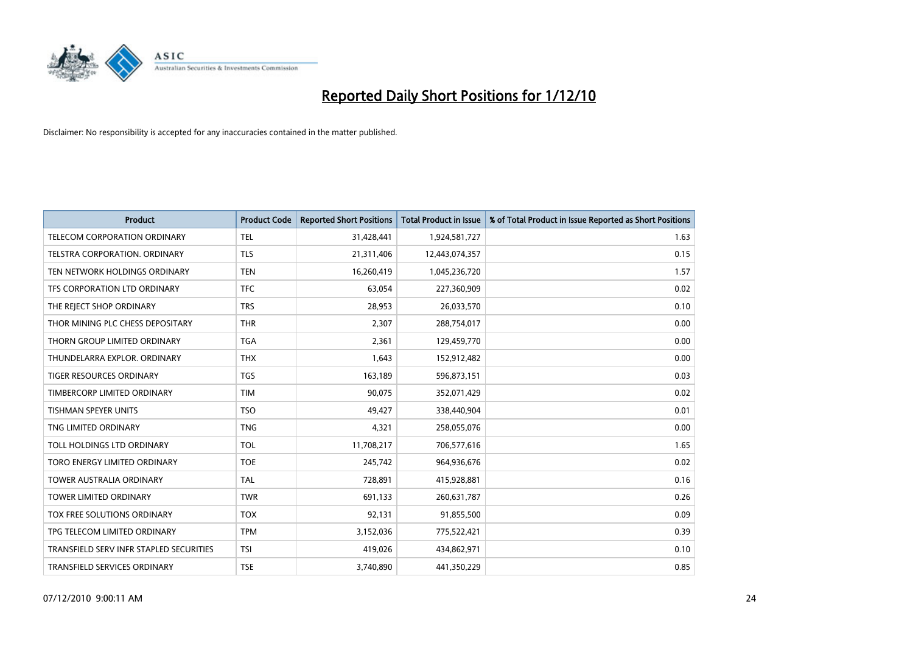

| <b>Product</b>                          | <b>Product Code</b> | <b>Reported Short Positions</b> | Total Product in Issue | % of Total Product in Issue Reported as Short Positions |
|-----------------------------------------|---------------------|---------------------------------|------------------------|---------------------------------------------------------|
| <b>TELECOM CORPORATION ORDINARY</b>     | <b>TEL</b>          | 31,428,441                      | 1,924,581,727          | 1.63                                                    |
| TELSTRA CORPORATION. ORDINARY           | <b>TLS</b>          | 21,311,406                      | 12,443,074,357         | 0.15                                                    |
| TEN NETWORK HOLDINGS ORDINARY           | <b>TEN</b>          | 16,260,419                      | 1,045,236,720          | 1.57                                                    |
| TFS CORPORATION LTD ORDINARY            | <b>TFC</b>          | 63,054                          | 227,360,909            | 0.02                                                    |
| THE REJECT SHOP ORDINARY                | <b>TRS</b>          | 28,953                          | 26,033,570             | 0.10                                                    |
| THOR MINING PLC CHESS DEPOSITARY        | <b>THR</b>          | 2,307                           | 288,754,017            | 0.00                                                    |
| THORN GROUP LIMITED ORDINARY            | <b>TGA</b>          | 2,361                           | 129,459,770            | 0.00                                                    |
| THUNDELARRA EXPLOR. ORDINARY            | <b>THX</b>          | 1,643                           | 152,912,482            | 0.00                                                    |
| TIGER RESOURCES ORDINARY                | <b>TGS</b>          | 163,189                         | 596,873,151            | 0.03                                                    |
| TIMBERCORP LIMITED ORDINARY             | <b>TIM</b>          | 90,075                          | 352,071,429            | 0.02                                                    |
| <b>TISHMAN SPEYER UNITS</b>             | <b>TSO</b>          | 49,427                          | 338,440,904            | 0.01                                                    |
| TNG LIMITED ORDINARY                    | <b>TNG</b>          | 4,321                           | 258,055,076            | 0.00                                                    |
| TOLL HOLDINGS LTD ORDINARY              | <b>TOL</b>          | 11,708,217                      | 706,577,616            | 1.65                                                    |
| TORO ENERGY LIMITED ORDINARY            | <b>TOE</b>          | 245,742                         | 964,936,676            | 0.02                                                    |
| <b>TOWER AUSTRALIA ORDINARY</b>         | <b>TAL</b>          | 728,891                         | 415,928,881            | 0.16                                                    |
| <b>TOWER LIMITED ORDINARY</b>           | <b>TWR</b>          | 691.133                         | 260,631,787            | 0.26                                                    |
| TOX FREE SOLUTIONS ORDINARY             | <b>TOX</b>          | 92,131                          | 91,855,500             | 0.09                                                    |
| TPG TELECOM LIMITED ORDINARY            | <b>TPM</b>          | 3,152,036                       | 775,522,421            | 0.39                                                    |
| TRANSFIELD SERV INFR STAPLED SECURITIES | <b>TSI</b>          | 419,026                         | 434,862,971            | 0.10                                                    |
| TRANSFIELD SERVICES ORDINARY            | <b>TSE</b>          | 3,740,890                       | 441,350,229            | 0.85                                                    |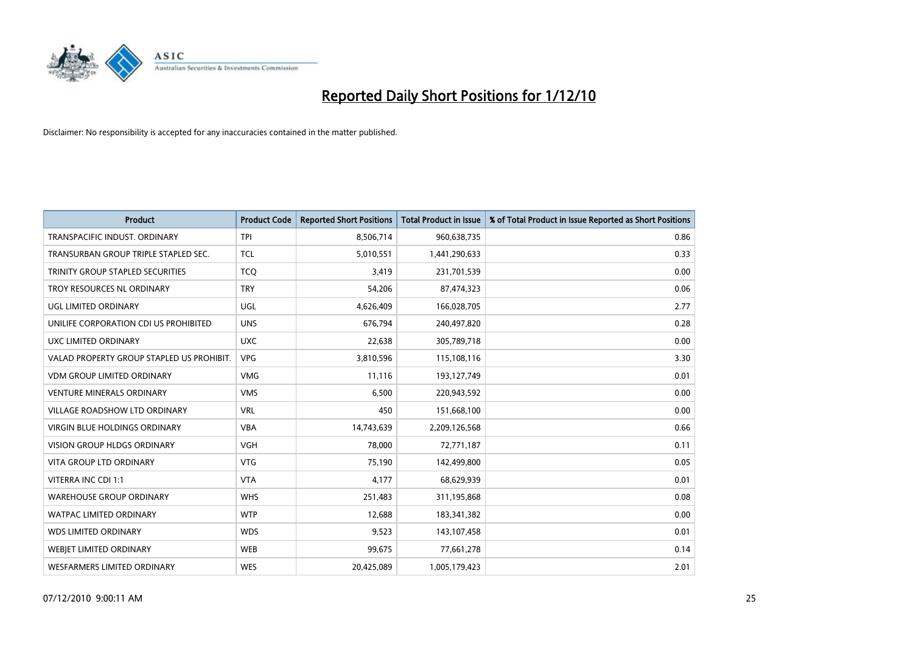

| <b>Product</b>                            | <b>Product Code</b> | <b>Reported Short Positions</b> | Total Product in Issue | % of Total Product in Issue Reported as Short Positions |
|-------------------------------------------|---------------------|---------------------------------|------------------------|---------------------------------------------------------|
| TRANSPACIFIC INDUST, ORDINARY             | <b>TPI</b>          | 8,506,714                       | 960,638,735            | 0.86                                                    |
| TRANSURBAN GROUP TRIPLE STAPLED SEC.      | <b>TCL</b>          | 5,010,551                       | 1,441,290,633          | 0.33                                                    |
| TRINITY GROUP STAPLED SECURITIES          | <b>TCO</b>          | 3,419                           | 231,701,539            | 0.00                                                    |
| TROY RESOURCES NL ORDINARY                | <b>TRY</b>          | 54,206                          | 87,474,323             | 0.06                                                    |
| <b>UGL LIMITED ORDINARY</b>               | UGL                 | 4,626,409                       | 166,028,705            | 2.77                                                    |
| UNILIFE CORPORATION CDI US PROHIBITED     | <b>UNS</b>          | 676,794                         | 240,497,820            | 0.28                                                    |
| UXC LIMITED ORDINARY                      | <b>UXC</b>          | 22,638                          | 305,789,718            | 0.00                                                    |
| VALAD PROPERTY GROUP STAPLED US PROHIBIT. | <b>VPG</b>          | 3,810,596                       | 115,108,116            | 3.30                                                    |
| <b>VDM GROUP LIMITED ORDINARY</b>         | <b>VMG</b>          | 11,116                          | 193,127,749            | 0.01                                                    |
| <b>VENTURE MINERALS ORDINARY</b>          | <b>VMS</b>          | 6,500                           | 220,943,592            | 0.00                                                    |
| VILLAGE ROADSHOW LTD ORDINARY             | <b>VRL</b>          | 450                             | 151,668,100            | 0.00                                                    |
| <b>VIRGIN BLUE HOLDINGS ORDINARY</b>      | <b>VBA</b>          | 14,743,639                      | 2,209,126,568          | 0.66                                                    |
| <b>VISION GROUP HLDGS ORDINARY</b>        | <b>VGH</b>          | 78,000                          | 72,771,187             | 0.11                                                    |
| <b>VITA GROUP LTD ORDINARY</b>            | <b>VTG</b>          | 75,190                          | 142,499,800            | 0.05                                                    |
| VITERRA INC CDI 1:1                       | <b>VTA</b>          | 4,177                           | 68,629,939             | 0.01                                                    |
| <b>WAREHOUSE GROUP ORDINARY</b>           | <b>WHS</b>          | 251,483                         | 311,195,868            | 0.08                                                    |
| WATPAC LIMITED ORDINARY                   | <b>WTP</b>          | 12,688                          | 183,341,382            | 0.00                                                    |
| <b>WDS LIMITED ORDINARY</b>               | <b>WDS</b>          | 9,523                           | 143,107,458            | 0.01                                                    |
| <b>WEBIET LIMITED ORDINARY</b>            | <b>WEB</b>          | 99,675                          | 77,661,278             | 0.14                                                    |
| WESFARMERS LIMITED ORDINARY               | <b>WES</b>          | 20,425,089                      | 1,005,179,423          | 2.01                                                    |